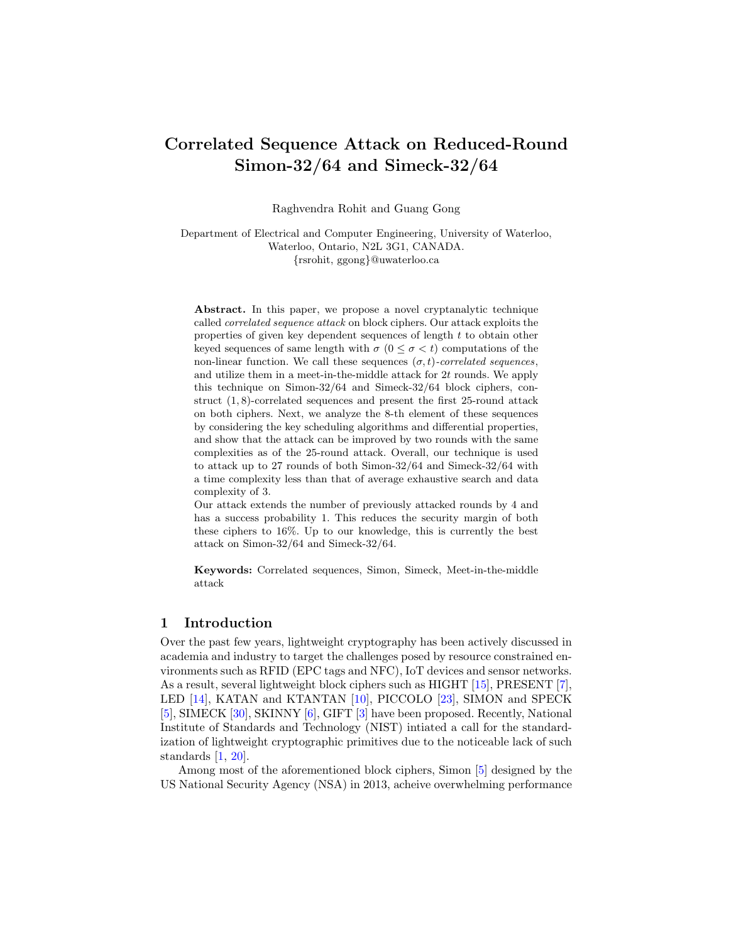# Correlated Sequence Attack on Reduced-Round Simon-32/64 and Simeck-32/64

Raghvendra Rohit and Guang Gong

Department of Electrical and Computer Engineering, University of Waterloo, Waterloo, Ontario, N2L 3G1, CANADA. {rsrohit, ggong}@uwaterloo.ca

Abstract. In this paper, we propose a novel cryptanalytic technique called correlated sequence attack on block ciphers. Our attack exploits the properties of given key dependent sequences of length t to obtain other keyed sequences of same length with  $\sigma$  ( $0 \leq \sigma < t$ ) computations of the non-linear function. We call these sequences  $(\sigma, t)$ -correlated sequences, and utilize them in a meet-in-the-middle attack for  $2t$  rounds. We apply this technique on Simon-32/64 and Simeck-32/64 block ciphers, construct (1, 8)-correlated sequences and present the first 25-round attack on both ciphers. Next, we analyze the 8-th element of these sequences by considering the key scheduling algorithms and differential properties, and show that the attack can be improved by two rounds with the same complexities as of the 25-round attack. Overall, our technique is used to attack up to 27 rounds of both Simon-32/64 and Simeck-32/64 with a time complexity less than that of average exhaustive search and data complexity of 3.

Our attack extends the number of previously attacked rounds by 4 and has a success probability 1. This reduces the security margin of both these ciphers to 16%. Up to our knowledge, this is currently the best attack on Simon-32/64 and Simeck-32/64.

Keywords: Correlated sequences, Simon, Simeck, Meet-in-the-middle attack

## 1 Introduction

Over the past few years, lightweight cryptography has been actively discussed in academia and industry to target the challenges posed by resource constrained environments such as RFID (EPC tags and NFC), IoT devices and sensor networks. As a result, several lightweight block ciphers such as HIGHT [\[15\]](#page-17-0), PRESENT [\[7\]](#page-17-1), LED [\[14\]](#page-17-2), KATAN and KTANTAN [\[10\]](#page-17-3), PICCOLO [\[23\]](#page-18-0), SIMON and SPECK [\[5\]](#page-16-0), SIMECK [\[30\]](#page-18-1), SKINNY [\[6\]](#page-16-1), GIFT [\[3\]](#page-16-2) have been proposed. Recently, National Institute of Standards and Technology (NIST) intiated a call for the standardization of lightweight cryptographic primitives due to the noticeable lack of such standards [\[1,](#page-16-3) [20\]](#page-17-4).

Among most of the aforementioned block ciphers, Simon [\[5\]](#page-16-0) designed by the US National Security Agency (NSA) in 2013, acheive overwhelming performance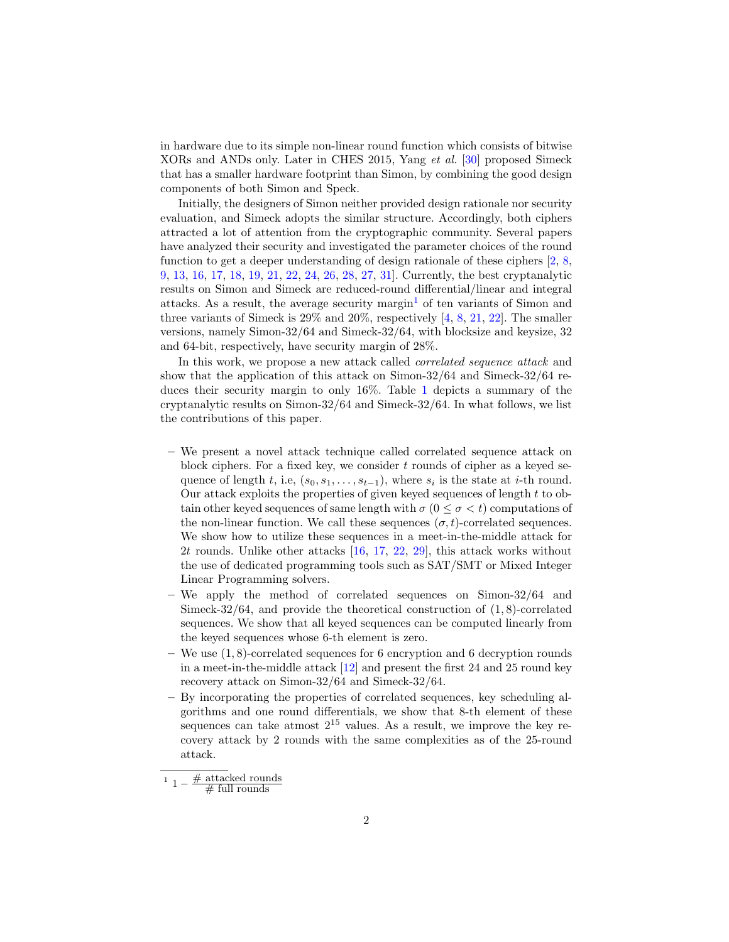in hardware due to its simple non-linear round function which consists of bitwise XORs and ANDs only. Later in CHES 2015, Yang et al. [\[30\]](#page-18-1) proposed Simeck that has a smaller hardware footprint than Simon, by combining the good design components of both Simon and Speck.

Initially, the designers of Simon neither provided design rationale nor security evaluation, and Simeck adopts the similar structure. Accordingly, both ciphers attracted a lot of attention from the cryptographic community. Several papers have analyzed their security and investigated the parameter choices of the round function to get a deeper understanding of design rationale of these ciphers [\[2,](#page-16-4) [8,](#page-17-5) [9,](#page-17-6) [13,](#page-17-7) [16,](#page-17-8) [17,](#page-17-9) [18,](#page-17-10) [19,](#page-17-11) [21,](#page-17-12) [22,](#page-17-13) [24,](#page-18-2) [26,](#page-18-3) [28,](#page-18-4) [27,](#page-18-5) [31\]](#page-18-6). Currently, the best cryptanalytic results on Simon and Simeck are reduced-round differential/linear and integral attacks. As a result, the average security margin<sup>[1](#page-1-0)</sup> of ten variants of Simon and three variants of Simeck is 29% and 20%, respectively [\[4,](#page-16-5) [8,](#page-17-5) [21,](#page-17-12) [22\]](#page-17-13). The smaller versions, namely Simon-32/64 and Simeck-32/64, with blocksize and keysize, 32 and 64-bit, respectively, have security margin of 28%.

In this work, we propose a new attack called *correlated sequence attack* and show that the application of this attack on Simon-32/64 and Simeck-32/64 reduces their security margin to only 16%. Table [1](#page-2-0) depicts a summary of the cryptanalytic results on Simon-32/64 and Simeck-32/64. In what follows, we list the contributions of this paper.

- We present a novel attack technique called correlated sequence attack on block ciphers. For a fixed key, we consider  $t$  rounds of cipher as a keyed sequence of length t, i.e,  $(s_0, s_1, \ldots, s_{t-1})$ , where  $s_i$  is the state at i-th round. Our attack exploits the properties of given keyed sequences of length t to obtain other keyed sequences of same length with  $\sigma$  ( $0 \leq \sigma \leq t$ ) computations of the non-linear function. We call these sequences  $(\sigma, t)$ -correlated sequences. We show how to utilize these sequences in a meet-in-the-middle attack for 2t rounds. Unlike other attacks [\[16,](#page-17-8) [17,](#page-17-9) [22,](#page-17-13) [29\]](#page-18-7), this attack works without the use of dedicated programming tools such as SAT/SMT or Mixed Integer Linear Programming solvers.
- We apply the method of correlated sequences on Simon-32/64 and Simeck-32/64, and provide the theoretical construction of (1, 8)-correlated sequences. We show that all keyed sequences can be computed linearly from the keyed sequences whose 6-th element is zero.
- We use (1, 8)-correlated sequences for 6 encryption and 6 decryption rounds in a meet-in-the-middle attack [\[12\]](#page-17-14) and present the first 24 and 25 round key recovery attack on Simon-32/64 and Simeck-32/64.
- By incorporating the properties of correlated sequences, key scheduling algorithms and one round differentials, we show that 8-th element of these sequences can take atmost  $2^{15}$  values. As a result, we improve the key recovery attack by 2 rounds with the same complexities as of the 25-round attack.

<span id="page-1-0"></span><sup>1</sup>  $1 - \frac{\text{\# attached rounds}}{\text{\# full rounds}}$ 

 $#$  full rounds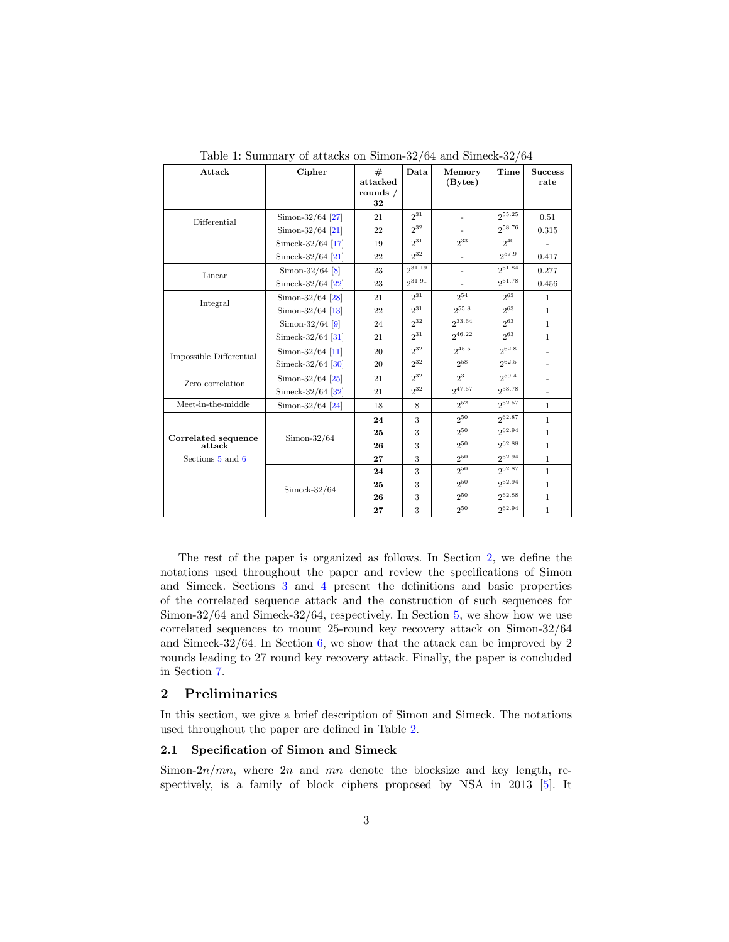<span id="page-2-0"></span>

| Attack                  | Cipher              | #<br>attacked | Data     | Memory<br>(Bytes) | Time        | <b>Success</b><br>rate   |
|-------------------------|---------------------|---------------|----------|-------------------|-------------|--------------------------|
|                         |                     | rounds /      |          |                   |             |                          |
|                         |                     | 32            |          |                   |             |                          |
| Differential            | Simon- $32/64$ [27] | 21            | $2^{31}$ |                   | $2^{55.25}$ | 0.51                     |
|                         | Simon- $32/64$ [21] | 22            | $2^{32}$ |                   | 258.76      | 0.315                    |
|                         | Simeck-32/64 [17]   | 19            | $2^{31}$ | $2^{33}$          | 240         |                          |
|                         | Simeck-32/64 [21]   | 22            | $2^{32}$ |                   | $2^{57.9}$  | 0.417                    |
| Linear                  | Simon-32/64 $[8]$   | 23            | 231.19   |                   | 261.84      | 0.277                    |
|                         | Simeck-32/64 $[22]$ | 23            | 231.91   |                   | 261.78      | 0.456                    |
| Integral                | Simon- $32/64$ [28] | 21            | $2^{31}$ | $2^{54}$          | $2^{63}$    | $\mathbf{1}$             |
|                         | Simon- $32/64$ [13] | 22            | $2^{31}$ | 255.8             | $2^{63}$    | $\mathbf{1}$             |
|                         | Simon-32/64 $[9]$   | 24            | $2^{32}$ | 233.64            | $2^{63}$    | $\mathbf{1}$             |
|                         | Simeck-32/64 $[31]$ | 21            | $2^{31}$ | $2^{46.22}$       | 263         | $\mathbf{1}$             |
| Impossible Differential | Simon- $32/64$ [11] | 20            | $2^{32}$ | 245.5             | 262.8       | $\overline{\phantom{a}}$ |
|                         | Simeck-32/64 $[30]$ | 20            | $2^{32}$ | 258               | 2062.5      |                          |
| Zero correlation        | Simon- $32/64$ [25] | 21            | $2^{32}$ | 231               | $2^{59.4}$  | $\overline{\phantom{a}}$ |
|                         | Simeck-32/64 $[32]$ | 21            | $2^{32}$ | 247.67            | $2^{58.78}$ |                          |
| Meet-in-the-middle      | Simon-32/64 [24]    | 18            | 8        | 252               | 2062.57     | $\mathbf{1}$             |
|                         |                     | 24            | 3        | 250               | 262.87      | $\mathbf{1}$             |
| Correlated sequence     | $Simon-32/64$       | 25            | 3        | $2^{50}$          | 262.94      | 1                        |
| attack                  |                     | 26            | 3        | $2^{50}$          | 262.88      | $\mathbf{1}$             |
| Sections 5 and 6        |                     | 27            | 3        | 250               | 262.94      | $\mathbf{1}$             |
|                         |                     | 24            | 3        | 250               | 262.87      | $\mathbf{1}$             |
|                         | $Simpleck-32/64$    | 25            | 3        | $2^{50}$          | 262.94      | $\mathbf{1}$             |
|                         |                     | 26            | 3        | $2^{50}$          | 262.88      | $\mathbf{1}$             |
|                         |                     | 27            | 3        | $2^{50}$          | $2^{62.94}$ | $\mathbf{1}$             |

Table 1: Summary of attacks on Simon-32/64 and Simeck-32/64

The rest of the paper is organized as follows. In Section [2,](#page-2-1) we define the notations used throughout the paper and review the specifications of Simon and Simeck. Sections [3](#page-4-0) and [4](#page-6-0) present the definitions and basic properties of the correlated sequence attack and the construction of such sequences for Simon-32/64 and Simeck-32/64, respectively. In Section [5,](#page-10-0) we show how we use correlated sequences to mount 25-round key recovery attack on Simon-32/64 and Simeck-32/64. In Section [6,](#page-13-0) we show that the attack can be improved by 2 rounds leading to 27 round key recovery attack. Finally, the paper is concluded in Section [7.](#page-16-6)

## <span id="page-2-1"></span>2 Preliminaries

In this section, we give a brief description of Simon and Simeck. The notations used throughout the paper are defined in Table [2.](#page-3-0)

#### 2.1 Specification of Simon and Simeck

Simon- $2n/mn$ , where  $2n$  and  $mn$  denote the blocksize and key length, re-spectively, is a family of block ciphers proposed by NSA in 2013 [\[5\]](#page-16-0). It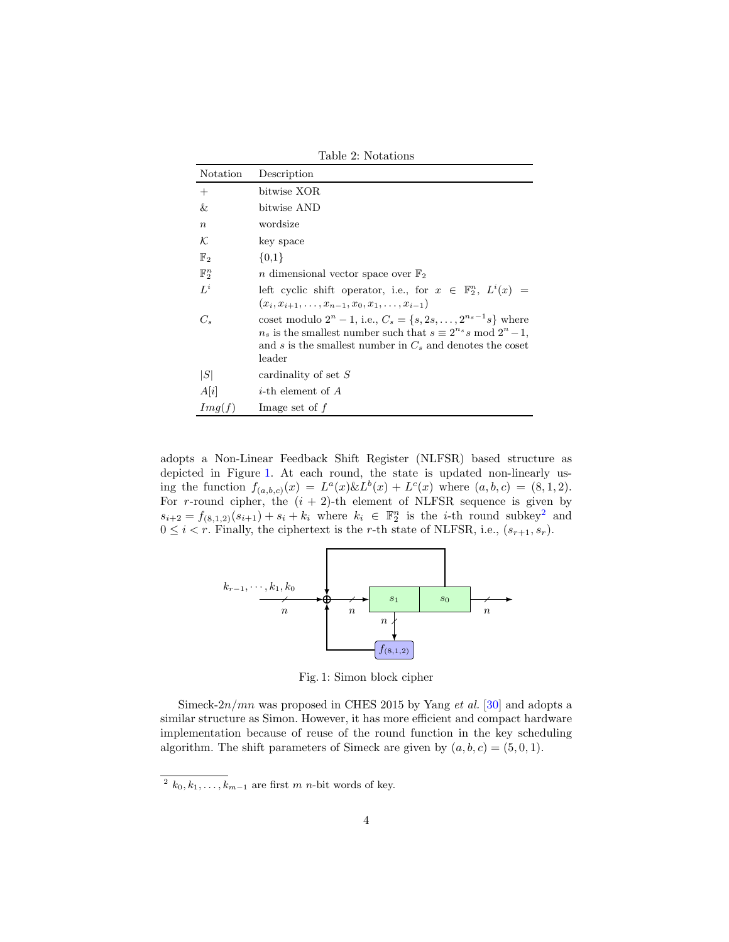<span id="page-3-0"></span>Table 2: Notations Notation Description + bitwise XOR & bitwise AND n wordsize  $\mathcal K$  key space  $\mathbb{F}_2$  {0,1}  $\mathbb{F}_2^n$  $n$  dimensional vector space over  $\mathbb{F}_2$  $L^i$ left cyclic shift operator, i.e., for  $x \in \mathbb{F}_2^n$ ,  $L^i(x) =$  $(x_i, x_{i+1}, \ldots, x_{n-1}, x_0, x_1, \ldots, x_{i-1})$  $C_s$  coset modulo  $2^n - 1$ , i.e.,  $C_s = \{s, 2s, ..., 2^{n_s - 1}s\}$  where  $n_s$  is the smallest number such that  $s \equiv 2^{n_s} s \mod 2^n - 1$ , and  $s$  is the smallest number in  $C_s$  and denotes the coset leader  $|S|$  cardinality of set S  $A[i]$  *i*-th element of A  $Img(f)$  Image set of f

adopts a Non-Linear Feedback Shift Register (NLFSR) based structure as depicted in Figure [1.](#page-3-1) At each round, the state is updated non-linearly using the function  $f_{(a,b,c)}(x) = L^a(x) \& L^b(x) + L^c(x)$  where  $(a,b,c) = (8,1,2)$ . For r-round cipher, the  $(i + 2)$ -th element of NLFSR sequence is given by  $s_{i+2} = f_{(8,1,2)}(s_{i+1}) + s_i + k_i$  $s_{i+2} = f_{(8,1,2)}(s_{i+1}) + s_i + k_i$  $s_{i+2} = f_{(8,1,2)}(s_{i+1}) + s_i + k_i$  where  $k_i \in \mathbb{F}_2^n$  is the *i*-th round subkey<sup>2</sup> and  $0 \leq i < r$ . Finally, the ciphertext is the r-th state of NLFSR, i.e.,  $(s_{r+1}, s_r)$ .

<span id="page-3-1"></span>

Fig. 1: Simon block cipher

Simeck- $2n/mn$  was proposed in CHES 2015 by Yang *et al.* [\[30\]](#page-18-1) and adopts a similar structure as Simon. However, it has more efficient and compact hardware implementation because of reuse of the round function in the key scheduling algorithm. The shift parameters of Simeck are given by  $(a, b, c) = (5, 0, 1)$ .

<span id="page-3-2"></span><sup>&</sup>lt;sup>2</sup>  $k_0, k_1, \ldots, k_{m-1}$  are first m n-bit words of key.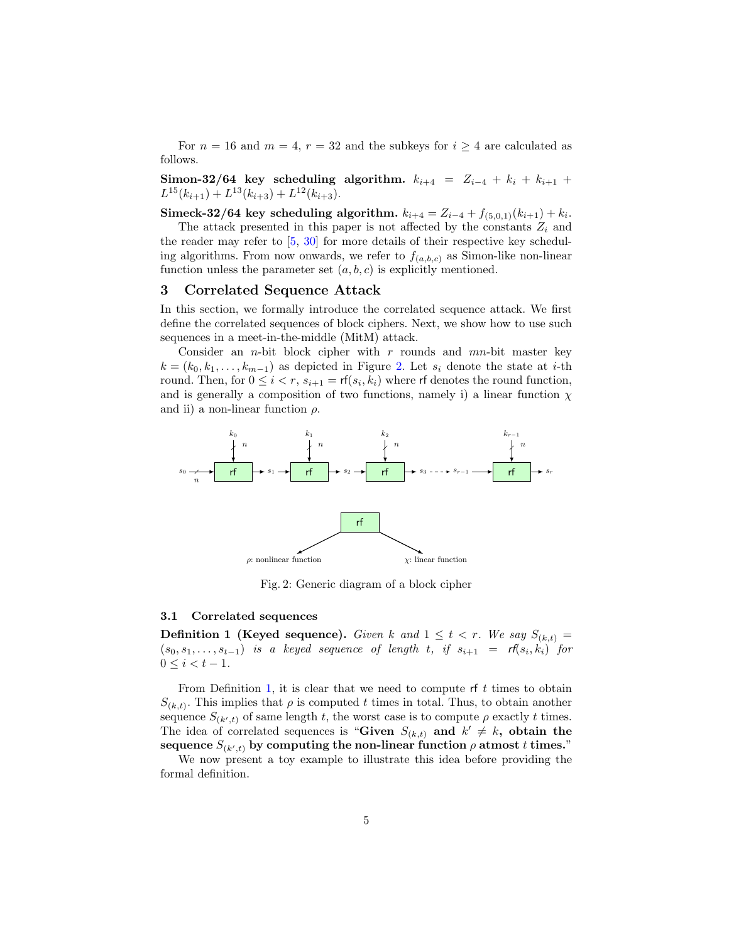For  $n = 16$  and  $m = 4$ ,  $r = 32$  and the subkeys for  $i \geq 4$  are calculated as follows.

Simon-32/64 key scheduling algorithm.  $k_{i+4} = Z_{i-4} + k_i + k_{i+1} + k_i$  $L^{15}(k_{i+1}) + L^{13}(k_{i+3}) + L^{12}(k_{i+3}).$ 

 ${\bf Sincek\text{-}32/64\,\, key\,\, scheduling\,\, algorithm.\,\, k_{i+4} = Z_{i-4} + f_{(5,0,1)}(k_{i+1}) + k_i. }$ 

The attack presented in this paper is not affected by the constants  $Z_i$  and the reader may refer to  $[5, 30]$  $[5, 30]$  $[5, 30]$  for more details of their respective key scheduling algorithms. From now onwards, we refer to  $f_{(a,b,c)}$  as Simon-like non-linear function unless the parameter set  $(a, b, c)$  is explicitly mentioned.

#### <span id="page-4-0"></span>3 Correlated Sequence Attack

In this section, we formally introduce the correlated sequence attack. We first define the correlated sequences of block ciphers. Next, we show how to use such sequences in a meet-in-the-middle (MitM) attack.

Consider an *n*-bit block cipher with  $r$  rounds and  $mn$ -bit master key  $k = (k_0, k_1, \ldots, k_{m-1})$  as depicted in Figure [2.](#page-4-1) Let  $s_i$  denote the state at *i*-th round. Then, for  $0 \leq i < r$ ,  $s_{i+1} = \text{rf}(s_i, k_i)$  where rf denotes the round function, and is generally a composition of two functions, namely i) a linear function  $\chi$ and ii) a non-linear function  $\rho$ .

<span id="page-4-1"></span>

Fig. 2: Generic diagram of a block cipher

#### 3.1 Correlated sequences

<span id="page-4-2"></span>**Definition 1 (Keyed sequence).** Given k and  $1 \leq t < r$ . We say  $S_{(k,t)} =$  $(s_0, s_1, \ldots, s_{t-1})$  is a keyed sequence of length t, if  $s_{i+1} = rf(s_i, k_i)$  for  $0 \leq i \leq t-1$ .

From Definition [1,](#page-4-2) it is clear that we need to compute rf  $t$  times to obtain  $S_{(k,t)}$ . This implies that  $\rho$  is computed t times in total. Thus, to obtain another sequence  $S_{(k',t)}$  of same length t, the worst case is to compute  $\rho$  exactly t times. The idea of correlated sequences is "Given  $S_{(k,t)}$  and  $k' \neq k$ , obtain the sequence  $S_{(k',t)}$  by computing the non-linear function  $\rho$  atmost  $t$  times."

We now present a toy example to illustrate this idea before providing the formal definition.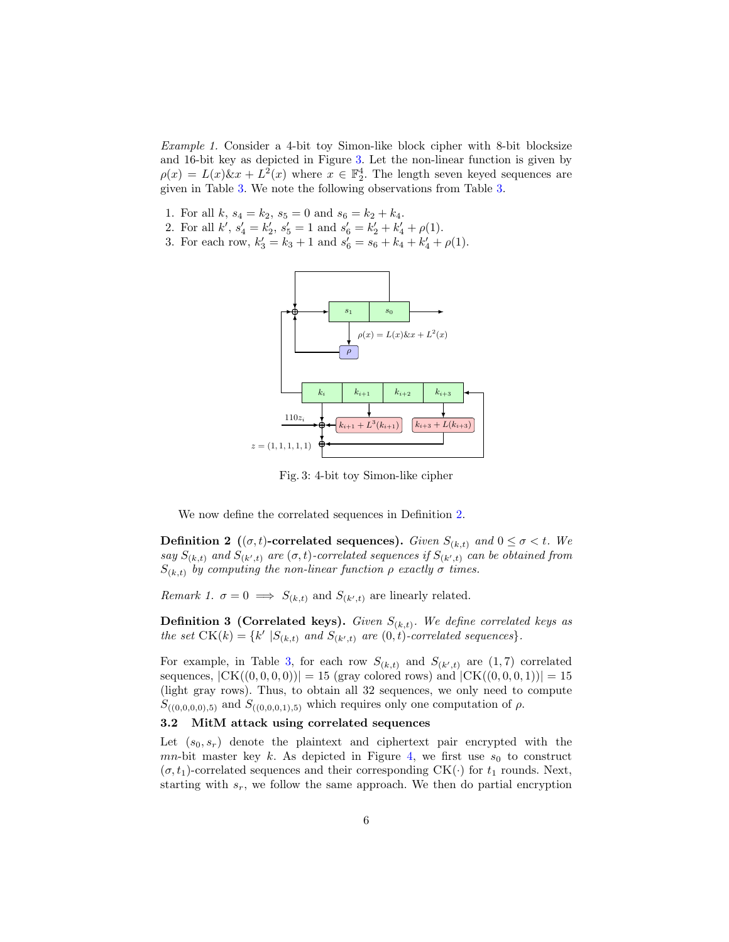Example 1. Consider a 4-bit toy Simon-like block cipher with 8-bit blocksize and 16-bit key as depicted in Figure [3.](#page-5-0) Let the non-linear function is given by  $\rho(x) = L(x)\&x + L^2(x)$  where  $x \in \mathbb{F}_2^4$ . The length seven keyed sequences are given in Table [3.](#page-6-1) We note the following observations from Table [3.](#page-6-1)

- 1. For all  $k, s_4 = k_2, s_5 = 0$  and  $s_6 = k_2 + k_4$ .
- 2. For all  $k'$ ,  $s'_4 = k'_2$ ,  $s'_5 = 1$  and  $s'_6 = k'_2 + k'_4 + \rho(1)$ .
- <span id="page-5-0"></span>3. For each row,  $k'_3 = k_3 + 1$  and  $s'_6 = s_6 + k_4 + k'_4 + \rho(1)$ .



Fig. 3: 4-bit toy Simon-like cipher

We now define the correlated sequences in Definition [2.](#page-5-1)

<span id="page-5-1"></span>**Definition 2** (( $\sigma$ , t)-correlated sequences). Given  $S_{(k,t)}$  and  $0 \leq \sigma < t$ . We say  $S_{(k,t)}$  and  $S_{(k',t)}$  are  $(\sigma,t)$ -correlated sequences if  $S_{(k',t)}$  can be obtained from  $S_{(k,t)}$  by computing the non-linear function  $\rho$  exactly  $\sigma$  times.

Remark 1.  $\sigma = 0 \implies S_{(k,t)}$  and  $S_{(k',t)}$  are linearly related.

**Definition 3 (Correlated keys).** Given  $S_{(k,t)}$ . We define correlated keys as the set  $CK(k) = \{k' \mid S_{(k,t)} \text{ and } S_{(k',t)} \text{ are } (0,t) \text{-}correlated sequences \}.$ 

For example, in Table [3,](#page-6-1) for each row  $S_{(k,t)}$  and  $S_{(k',t)}$  are  $(1,7)$  correlated sequences,  $|CK((0,0,0,0))|=15$  (gray colored rows) and  $|CK((0,0,0,1))|=15$ (light gray rows). Thus, to obtain all 32 sequences, we only need to compute  $S_{((0,0,0,0),5)}$  and  $S_{((0,0,0,1),5)}$  which requires only one computation of  $\rho$ .

#### 3.2 MitM attack using correlated sequences

Let  $(s_0, s_r)$  denote the plaintext and ciphertext pair encrypted with the mn-bit master key k. As depicted in Figure [4,](#page-6-2) we first use  $s_0$  to construct  $(\sigma, t_1)$ -correlated sequences and their corresponding CK(·) for  $t_1$  rounds. Next, starting with  $s_r$ , we follow the same approach. We then do partial encryption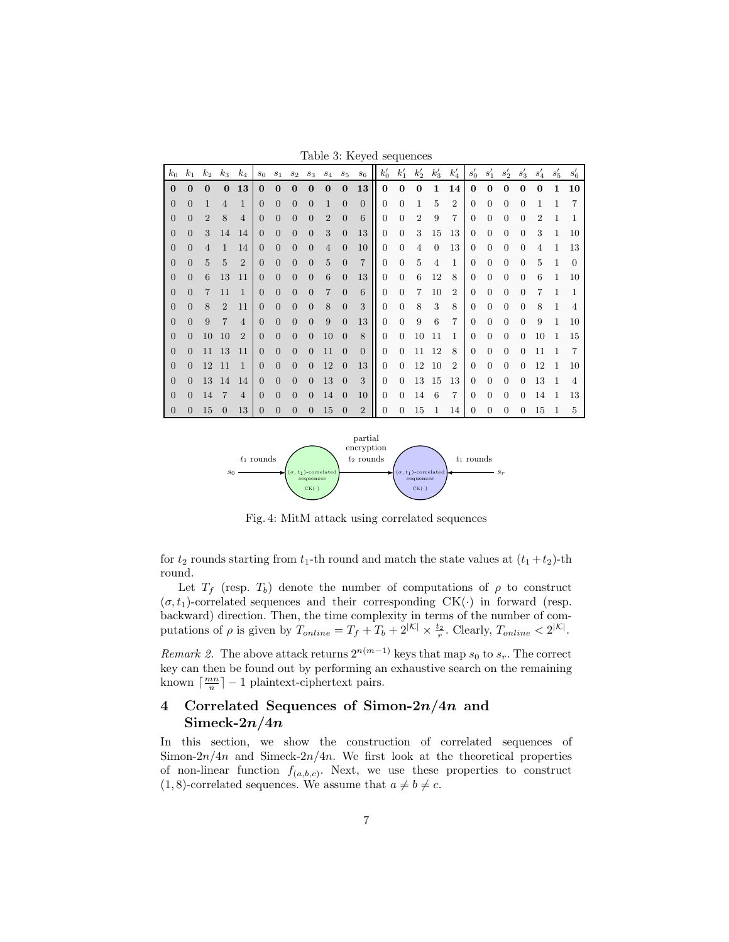Table 3: Keyed sequences

<span id="page-6-1"></span>

| $k_0$    | $k_{1}$  | $k_2$          | $k_3$          | $k_4$          | s <sub>0</sub> | $s_1$          | $s_2$          | $s_3$          | $s_4$          | $s_5$          | S6             | $k_0'$         | $k_1'$         | $k_2'$         | $k'_3$         | $k_4'$         | $s'_0$   | $s'_1$   | $s_2'$   | $s_3'$         | $s_4'$       | $s'_{5}$     | $s'_6$         |
|----------|----------|----------------|----------------|----------------|----------------|----------------|----------------|----------------|----------------|----------------|----------------|----------------|----------------|----------------|----------------|----------------|----------|----------|----------|----------------|--------------|--------------|----------------|
| $\bf{0}$ | $\Omega$ | $\mathbf{0}$   | $\Omega$       | 13             | $\bf{0}$       | $\bf{0}$       | $\Omega$       | $\Omega$       | $\Omega$       | $\Omega$       | 13             | $\bf{0}$       | $\bf{0}$       | $\bf{0}$       | $\mathbf{1}$   | 14             | $\bf{0}$ | $\bf{0}$ | 0        | $\bf{0}$       | $\mathbf{0}$ | 1            | 10             |
| $\Omega$ | $\Omega$ | 1              | 4              | $\mathbf{1}$   | $\Omega$       | $\Omega$       | $\Omega$       | $\Omega$       | $\mathbf{1}$   | $\Omega$       | $\Omega$       | $\Omega$       | $\Omega$       | 1              | 5              | $\overline{2}$ | $\Omega$ | $\Omega$ | 0        | $\Omega$       |              |              | 7              |
| $\Omega$ | $\Omega$ | $\overline{2}$ | 8              | $\overline{4}$ | $\Omega$       | $\Omega$       | $\overline{0}$ | $\Omega$       | $\overline{2}$ | $\Omega$       | 6              | $\Omega$       | $\Omega$       | $\overline{2}$ | 9              | $\overline{7}$ | $\Omega$ | $\Omega$ | $\Omega$ | $\Omega$       | 2            |              |                |
| $\Omega$ | $\Omega$ | 3              | 14             | 14             | $\Omega$       | $\Omega$       | $\Omega$       | $\Omega$       | 3              | $\Omega$       | 13             | $\Omega$       | $\Omega$       | 3              | 15             | 13             | $\Omega$ | $\Omega$ | $\Omega$ | $\Omega$       | 3            | $\mathbf{1}$ | 10             |
| $\Omega$ | $\Omega$ | $\overline{4}$ | $\mathbf{1}$   | 14             | $\Omega$       | $\Omega$       | $\Omega$       | $\Omega$       | $\overline{4}$ | $\Omega$       | 10             | $\Omega$       | $\Omega$       | $\overline{4}$ | $\Omega$       | 13             | $\Omega$ | $\Omega$ | 0        | $\Omega$       | 4            | $\mathbf{1}$ | 13             |
| $\theta$ | $\Omega$ | 5              | $\overline{5}$ | $\overline{2}$ | $\overline{0}$ | $\overline{0}$ | $\overline{0}$ | $\overline{0}$ | 5              | $\Omega$       | $\overline{7}$ | $\Omega$       | $\theta$       | 5              | $\overline{4}$ | $\mathbf{1}$   | $\Omega$ | $\Omega$ | 0        | $\theta$       | 5            | 1            | $\theta$       |
| 0        | $\Omega$ | 6              | 13             | 11             | $\Omega$       | $\overline{0}$ | $\overline{0}$ | $\Omega$       | 6              | $\Omega$       | 13             | $\Omega$       | $\theta$       | 6              | 12             | 8              | $\Omega$ | $\Omega$ | $\Omega$ | $\Omega$       | 6            | $\mathbf{1}$ | 10             |
| 0        | $\Omega$ | 7              | 11             | $\mathbf{1}$   | $\Omega$       | $\Omega$       | $\overline{0}$ | $\Omega$       | 7              | $\theta$       | 6              | $\overline{0}$ | $\Omega$       | 7              | 10             | $\overline{2}$ | $\theta$ | $\Omega$ | 0        | $\Omega$       |              |              | 1              |
| $\Omega$ | $\Omega$ | 8              | $\overline{2}$ | 11             | $\overline{0}$ | $\Omega$       | $\Omega$       | $\Omega$       | 8              | $\Omega$       | 3              | $\Omega$       | $\Omega$       | 8              | 3              | 8              | $\Omega$ | $\Omega$ | $\Omega$ | $\Omega$       | 8            | 1            | 4              |
| $\Omega$ | $\Omega$ | 9              | 7              | $\overline{4}$ | $\Omega$       | $\Omega$       | $\overline{0}$ | $\overline{0}$ | 9              | $\Omega$       | 13             | $\Omega$       | $\Omega$       | 9              | 6              | $\overline{7}$ | $\Omega$ | $\Omega$ | $\Omega$ | $\overline{0}$ | 9            | $\mathbf{1}$ | 10             |
| $\theta$ | $\Omega$ | 10             | 10             | $\overline{2}$ | $\Omega$       | $\overline{0}$ | $\overline{0}$ | $\overline{0}$ | 10             | $\theta$       | 8              | $\overline{0}$ | $\theta$       | 10             | 11             | 1              | $\Omega$ | $\Omega$ | $\Omega$ | $\theta$       | 10           | $\mathbf{1}$ | 15             |
| $\Omega$ | $\Omega$ | 11             | 13             | 11             | $\overline{0}$ | $\Omega$       | $\Omega$       | $\Omega$       | 11             | $\theta$       | $\Omega$       | $\Omega$       | $\Omega$       | 11             | 12             | 8              | $\Omega$ | $\Omega$ | 0        | $\Omega$       | 11           |              | 7              |
| $\theta$ | $\Omega$ | 12             | -11            | $\mathbf{1}$   | $\theta$       | $\overline{0}$ | $\overline{0}$ | $\overline{0}$ | 12             | $\theta$       | 13             | $\Omega$       | $\Omega$       | 12             | -10            | $\overline{2}$ | $\Omega$ | $\Omega$ | $\Omega$ | $\Omega$       | 12           | 1            | 10             |
| $\Omega$ | $\Omega$ | 13             | 14             | 14             | $\Omega$       | $\Omega$       | $\Omega$       | $\Omega$       | 13             | $\theta$       | 3              | $\Omega$       | $\Omega$       | 13             | -15            | 13             | $\Omega$ | $\Omega$ | $\Omega$ | $\Omega$       | 13           | 1            | $\overline{4}$ |
| $\theta$ | $\Omega$ | 14             |                | $\overline{4}$ | $\Omega$       | $\Omega$       | $\theta$       | $\overline{0}$ | 14             | $\theta$       | 10             | $\overline{0}$ | $\theta$       | 14             | 6              | 7              | $\Omega$ | $\Omega$ | $\Omega$ | $\Omega$       | 14           | -1           | 13             |
| $\theta$ | $\Omega$ | 15             | $\Omega$       | 13             | $\Omega$       | $\overline{0}$ | $\theta$       | $\theta$       | 15             | $\overline{0}$ | $\overline{2}$ | $\overline{0}$ | $\overline{0}$ | 15             | 1              | 14             | $\Omega$ | 0        | 0        | $\Omega$       | 15           | 1            | 5              |

<span id="page-6-2"></span>

Fig. 4: MitM attack using correlated sequences

for  $t_2$  rounds starting from  $t_1$ -th round and match the state values at  $(t_1 + t_2)$ -th round.

Let  $T_f$  (resp.  $T_b$ ) denote the number of computations of  $\rho$  to construct  $(\sigma, t_1)$ -correlated sequences and their corresponding CK(·) in forward (resp. backward) direction. Then, the time complexity in terms of the number of computations of  $\rho$  is given by  $T_{online} = T_f + T_b + 2^{|\mathcal{K}|} \times \frac{t_2}{r}$ . Clearly,  $T_{online} < 2^{|\mathcal{K}|}$ .

Remark 2. The above attack returns  $2^{n(m-1)}$  keys that map  $s_0$  to  $s_r$ . The correct key can then be found out by performing an exhaustive search on the remaining known  $\lceil \frac{mn}{n} \rceil - 1$  plaintext-ciphertext pairs.

# <span id="page-6-0"></span>4 Correlated Sequences of Simon- $2n/4n$  and Simeck- $2n/4n$

In this section, we show the construction of correlated sequences of Simon- $2n/4n$  and Simeck- $2n/4n$ . We first look at the theoretical properties of non-linear function  $f_{(a,b,c)}$ . Next, we use these properties to construct  $(1, 8)$ -correlated sequences. We assume that  $a \neq b \neq c$ .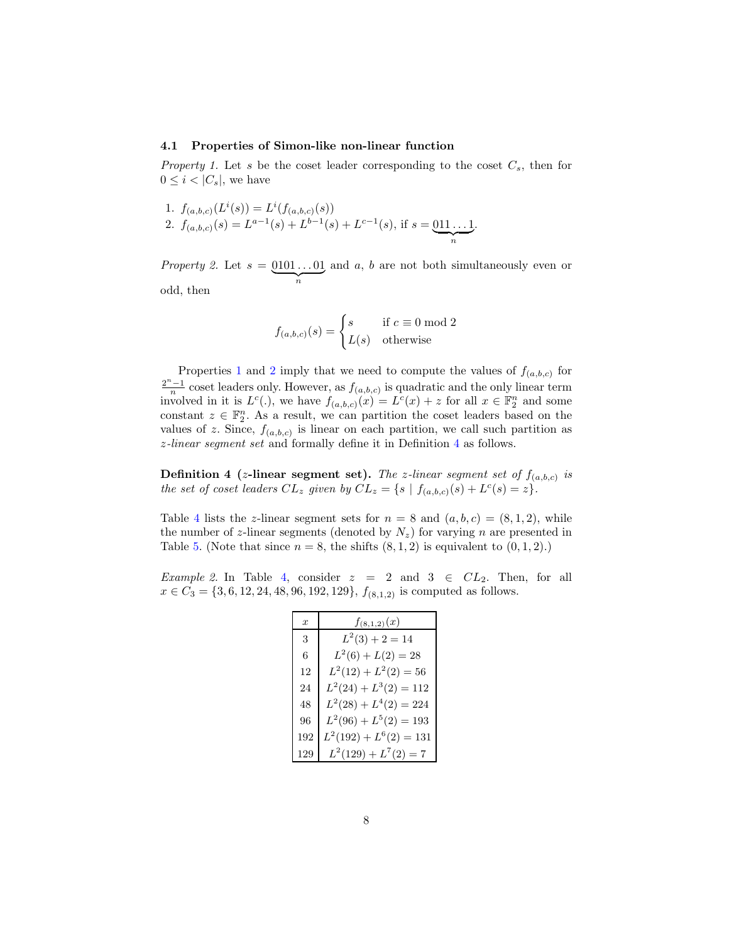#### 4.1 Properties of Simon-like non-linear function

<span id="page-7-0"></span>Property 1. Let s be the coset leader corresponding to the coset  $C_s$ , then for  $0 \leq i < |C_s|$ , we have

1. 
$$
f_{(a,b,c)}(L^i(s)) = L^i(f_{(a,b,c)}(s))
$$
  
\n2.  $f_{(a,b,c)}(s) = L^{a-1}(s) + L^{b-1}(s) + L^{c-1}(s)$ , if  $s = \underbrace{011...1}_{n}$ .

<span id="page-7-1"></span>Property 2. Let  $s = 0101...01$  $\overbrace{n}$ and a, b are not both simultaneously even or odd, then

$$
f_{(a,b,c)}(s) = \begin{cases} s & \text{if } c \equiv 0 \bmod 2\\ L(s) & \text{otherwise} \end{cases}
$$

Properties [1](#page-7-0) and [2](#page-7-1) imply that we need to compute the values of  $f_{(a,b,c)}$  for  $\frac{2^n-1}{n}$  coset leaders only. However, as  $f_{(a,b,c)}$  is quadratic and the only linear term involved in it is  $L^c(.)$ , we have  $f_{(a,b,c)}(x) = L^c(x) + z$  for all  $x \in \mathbb{F}_2^n$  and some constant  $z \in \mathbb{F}_2^n$ . As a result, we can partition the coset leaders based on the values of z. Since,  $f_{(a,b,c)}$  is linear on each partition, we call such partition as z-linear segment set and formally define it in Definition [4](#page-7-2) as follows.

<span id="page-7-2"></span>**Definition 4** (*z*-linear segment set). The *z*-linear segment set of  $f_{(a,b,c)}$  is the set of coset leaders  $CL_z$  given by  $CL_z = \{s \mid f_{(a,b,c)}(s) + L^c(s) = z\}.$ 

Table [4](#page-8-0) lists the z-linear segment sets for  $n = 8$  and  $(a, b, c) = (8, 1, 2)$ , while the number of z-linear segments (denoted by  $N_z$ ) for varying n are presented in Table [5.](#page-8-1) (Note that since  $n = 8$ , the shifts  $(8, 1, 2)$  is equivalent to  $(0, 1, 2)$ .)

Example 2. In Table [4,](#page-8-0) consider  $z = 2$  and  $3 \in CL_2$ . Then, for all  $x \in C_3 = \{3, 6, 12, 24, 48, 96, 192, 129\}, f_{(8,1,2)}$  is computed as follows.

| $\boldsymbol{x}$ | $f_{(8,1,2)}(x)$          |
|------------------|---------------------------|
| 3                | $L^2(3) + 2 = 14$         |
| 6                | $L^2(6) + L(2) = 28$      |
| 12               | $L^2(12) + L^2(2) = 56$   |
| 24               | $L^2(24) + L^3(2) = 112$  |
| 48               | $L^2(28) + L^4(2) = 224$  |
| 96               | $L^2(96) + L^5(2) = 193$  |
| 192              | $L^2(192) + L^6(2) = 131$ |
|                  | $L^2(129) + L^7(2) = 7$   |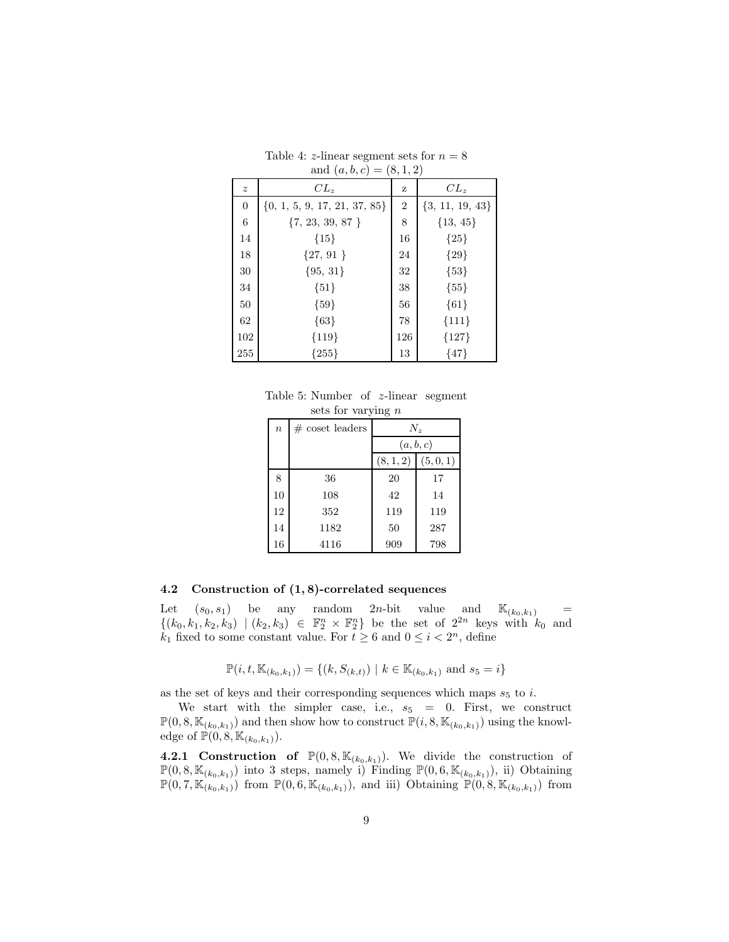<span id="page-8-0"></span>

|                  | allet $(u, v, c) = (0, 1, 2)$    |                |                     |
|------------------|----------------------------------|----------------|---------------------|
| $\boldsymbol{z}$ | $CL_z$                           | z              | $CL_z$              |
| $\boldsymbol{0}$ | $\{0, 1, 5, 9, 17, 21, 37, 85\}$ | $\overline{2}$ | $\{3, 11, 19, 43\}$ |
| 6                | ${7, 23, 39, 87}$                | 8              | ${13, 45}$          |
| 14               | ${15}$                           | 16             | ${25}$              |
| 18               | ${27, 91}$                       | 24             | ${29}$              |
| $30\,$           | ${95, 31}$                       | 32             | ${53}$              |
| 34               | ${51}$                           | 38             | ${55}$              |
| 50               | ${59}$                           | 56             | ${61}$              |
| 62               | ${63}$                           | 78             | ${111}$             |
| 102              | ${119}$                          | 126            | ${127}$             |
| 255              | ${255}$                          | 13             | ${47}$              |

Table 4: *z*-linear segment sets for  $n = 8$ and  $(a, b, c) = (8, 1, 2)$ 

<span id="page-8-1"></span>Table 5: Number of z-linear segment sets for varying  $n$ 

| $\boldsymbol{n}$ | $# \csc \text{leaders}$ | $N_z$     |           |  |  |  |
|------------------|-------------------------|-----------|-----------|--|--|--|
|                  |                         | (a, b, c) |           |  |  |  |
|                  |                         | (8,1,2)   | (5, 0, 1) |  |  |  |
| 8                | 36                      | 20        | 17        |  |  |  |
| 10               | 108                     | 42        | 14        |  |  |  |
| 12               | 352                     | 119       | 119       |  |  |  |
| 14               | 1182                    | 50        | 287       |  |  |  |
| 16               | 4116                    | 909       | 798       |  |  |  |

#### 4.2 Construction of (1, 8)-correlated sequences

Let  $(s_0, s_1)$  be any random  $2n$ -bit value and  $\mathbb{K}_{(k_0, k_1)}$  =  $\{(k_0, k_1, k_2, k_3) | (k_2, k_3) \in \mathbb{F}_2^n \times \mathbb{F}_2^n\}$  be the set of  $2^{2n}$  keys with  $k_0$  and  $k_1$  fixed to some constant value. For  $t \geq 6$  and  $0 \leq i < 2^n$ , define

$$
\mathbb{P}(i, t, \mathbb{K}_{(k_0, k_1)}) = \{(k, S_{(k,t)}) \mid k \in \mathbb{K}_{(k_0, k_1)} \text{ and } s_5 = i\}
$$

as the set of keys and their corresponding sequences which maps  $s_5$  to i.

We start with the simpler case, i.e.,  $s_5 = 0$ . First, we construct  $\mathbb{P}(0, 8, \mathbb{K}_{(k_0, k_1)})$  and then show how to construct  $\mathbb{P}(i, 8, \mathbb{K}_{(k_0, k_1)})$  using the knowledge of  $\mathbb{P}(0, 8, \mathbb{K}_{(k_0, k_1)})$ .

**4.2.1 Construction of**  $\mathbb{P}(0, 8, \mathbb{K}_{(k_0,k_1)})$ . We divide the construction of  $\mathbb{P}(0, 8, \mathbb{K}_{(k_0, k_1)})$  into 3 steps, namely i) Finding  $\mathbb{P}(0, 6, \mathbb{K}_{(k_0, k_1)})$ , ii) Obtaining  $\mathbb{P}(0, 7, \mathbb{K}_{(k_0, k_1)})$  from  $\mathbb{P}(0, 6, \mathbb{K}_{(k_0, k_1)})$ , and iii) Obtaining  $\mathbb{P}(0, 8, \mathbb{K}_{(k_0, k_1)})$  from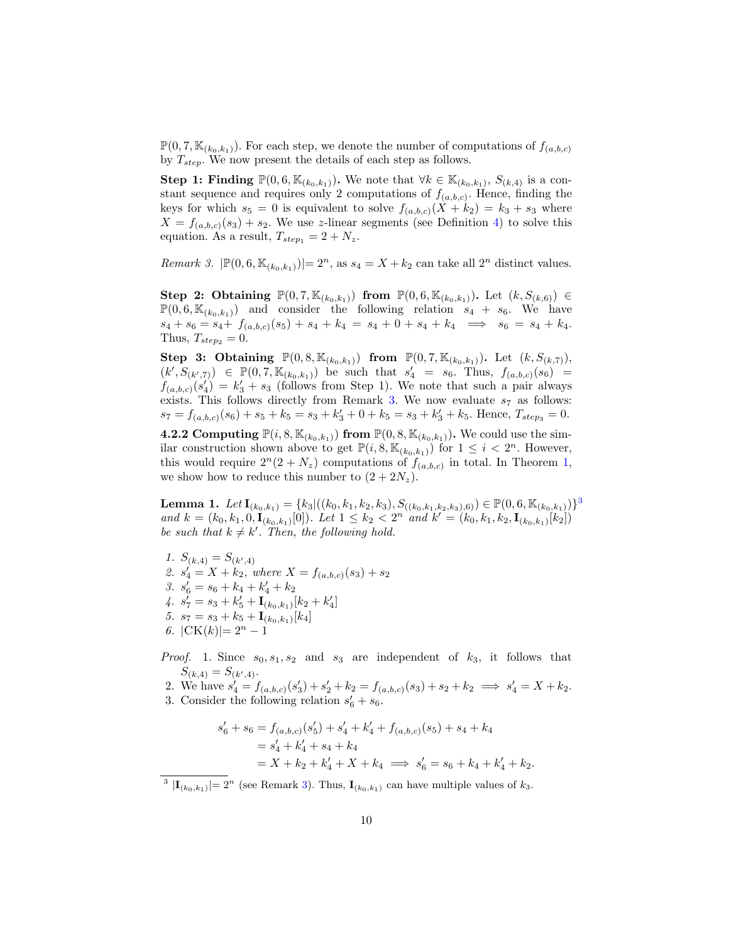$\mathbb{P}(0, 7, \mathbb{K}_{(k_0,k_1)})$ . For each step, we denote the number of computations of  $f_{(a,b,c)}$ by  $T_{step}$ . We now present the details of each step as follows.

Step 1: Finding  $\mathbb{P}(0,6,\mathbb{K}_{(k_0,k_1)})$ . We note that  $\forall k \in \mathbb{K}_{(k_0,k_1)}, S_{(k,4)}$  is a constant sequence and requires only 2 computations of  $f_{(a,b,c)}$ . Hence, finding the keys for which  $s_5 = 0$  is equivalent to solve  $f_{(a,b,c)}(X + k_2) = k_3 + s_3$  where  $X = f_{(a,b,c)}(s_3) + s_2$ . We use z-linear segments (see Definition [4\)](#page-7-2) to solve this equation. As a result,  $T_{step_1} = 2 + N_z$ .

<span id="page-9-0"></span>*Remark 3.*  $|\mathbb{P}(0,6,\mathbb{K}_{(k_0,k_1)})|=2^n$ , as  $s_4=X+k_2$  can take all  $2^n$  distinct values.

Step 2: Obtaining  $\mathbb{P}(0, 7, \mathbb{K}_{(k_0,k_1)})$  from  $\mathbb{P}(0, 6, \mathbb{K}_{(k_0,k_1)})$ . Let  $(k, S_{(k,6)}) \in$  $\mathbb{P}(0,6,\mathbb{K}_{(k_0,k_1)})$  and consider the following relation  $s_4 + s_6$ . We have  $s_4 + s_6 = s_4 + f_{(a,b,c)}(s_5) + s_4 + k_4 = s_4 + 0 + s_4 + k_4 \implies s_6 = s_4 + k_4.$ Thus,  $T_{step_2} = 0$ .

**Step 3: Obtaining**  $\mathbb{P}(0, 8, \mathbb{K}_{(k_0,k_1)})$  from  $\mathbb{P}(0, 7, \mathbb{K}_{(k_0,k_1)})$ . Let  $(k, S_{(k,7)})$ ,  $(k', S_{(k',7)}) \in \mathbb{P}(0, 7, \mathbb{K}_{(k_0,k_1)})$  be such that  $s'_4 = s_6$ . Thus,  $f_{(a,b,c)}(s_6) =$  $f_{(a,b,c)}(s_4') = k_3' + s_3$  (follows from Step 1). We note that such a pair always exists. This follows directly from Remark [3.](#page-9-0) We now evaluate  $s_7$  as follows:  $s_7 = f_{(a,b,c)}(s_6) + s_5 + k_5 = s_3 + k'_3 + 0 + k_5 = s_3 + k'_3 + k_5$ . Hence,  $T_{steps} = 0$ .

**4.2.2 Computing**  $\mathbb{P}(i, 8, \mathbb{K}_{(k_0, k_1)})$  from  $\mathbb{P}(0, 8, \mathbb{K}_{(k_0, k_1)})$ . We could use the similar construction shown above to get  $\mathbb{P}(i, 8, \mathbb{K}_{(k_0,k_1)})$  for  $1 \leq i < 2^n$ . However, this would require  $2^{n}(2+N_z)$  computations of  $f_{(a,b,c)}$  in total. In Theorem [1,](#page-10-1) we show how to reduce this number to  $(2+2N_z)$ .

<span id="page-9-2"></span>**Lemma 1.** Let  $\mathbf{I}_{(k_0,k_1)} = \{k_3 | ((k_0,k_1,k_2,k_3), S_{((k_0,k_1,k_2,k_3),6)}) \in \mathbb{P}(0,6,\mathbb{K}_{(k_0,k_1)})\}^3$  $\mathbf{I}_{(k_0,k_1)} = \{k_3 | ((k_0,k_1,k_2,k_3), S_{((k_0,k_1,k_2,k_3),6)}) \in \mathbb{P}(0,6,\mathbb{K}_{(k_0,k_1)})\}^3$  $\mathbf{I}_{(k_0,k_1)} = \{k_3 | ((k_0,k_1,k_2,k_3), S_{((k_0,k_1,k_2,k_3),6)}) \in \mathbb{P}(0,6,\mathbb{K}_{(k_0,k_1)})\}^3$ and  $k = (k_0, k_1, 0, \mathbf{I}_{(k_0, k_1)}[0])$ . Let  $1 \leq k_2 < 2^n$  and  $k' = (k_0, k_1, k_2, \mathbf{I}_{(k_0, k_1)}[k_2])$ be such that  $k \neq k'$ . Then, the following hold.

- 1.  $S_{(k,4)} = S_{(k',4)}$ 2.  $s_4' = X + k_2$ , where  $X = f_{(a,b,c)}(s_3) + s_2$ 3.  $s'_6 = s_6 + k_4 + k'_4 + k_2$ 4.  $s'_7 = s_3 + k'_5 + I_{(k_0, k_1)}[k_2 + k'_4]$ 5.  $s_7 = s_3 + k_5 + \mathbf{I}_{(k_0, k_1)}[k_4]$ 6.  $|CK(k)|=2^n-1$
- *Proof.* 1. Since  $s_0, s_1, s_2$  and  $s_3$  are independent of  $k_3$ , it follows that  $S_{(k,4)} = S_{(k',4)}.$

2. We have  $s'_4 = f_{(a,b,c)}(s'_3) + s'_2 + k_2 = f_{(a,b,c)}(s_3) + s_2 + k_2 \implies s'_4 = X + k_2$ . 3. Consider the following relation  $s'_6 + s_6$ .

$$
s'_{6} + s_{6} = f_{(a,b,c)}(s'_{5}) + s'_{4} + k'_{4} + f_{(a,b,c)}(s_{5}) + s_{4} + k_{4}
$$
  
=  $s'_{4} + k'_{4} + s_{4} + k_{4}$   
=  $X + k_{2} + k'_{4} + X + k_{4} \implies s'_{6} = s_{6} + k_{4} + k'_{4} + k_{2}.$ 

<span id="page-9-1"></span><sup>3</sup>  $|\mathbf{I}_{(k_0,k_1)}|=2^n$  (see Remark [3\)](#page-9-0). Thus,  $\mathbf{I}_{(k_0,k_1)}$  can have multiple values of  $k_3$ .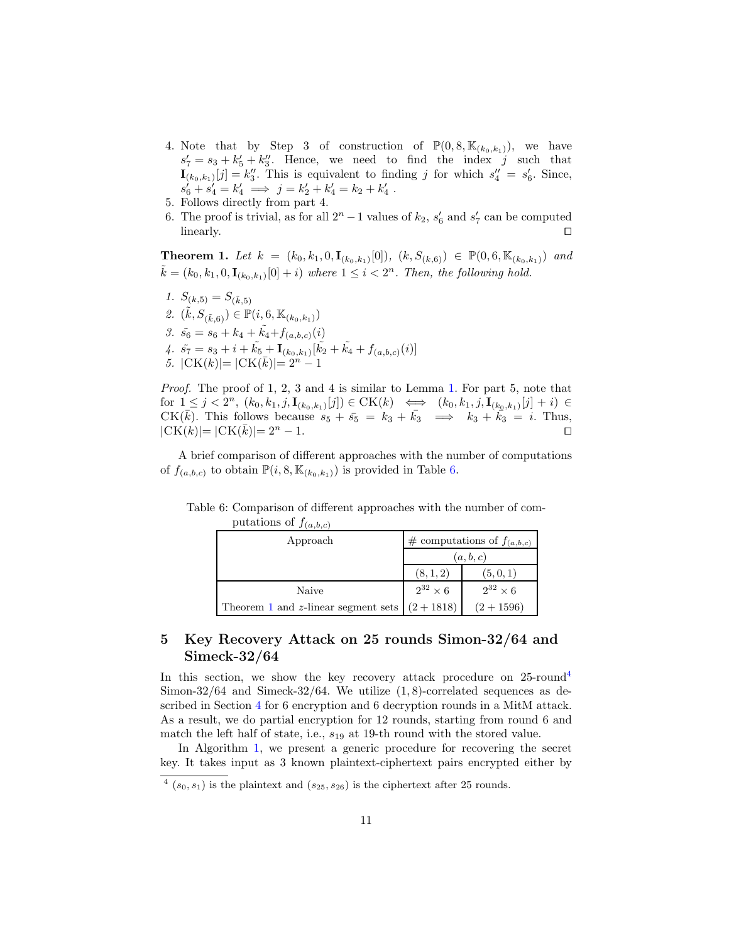- 4. Note that by Step 3 of construction of  $\mathbb{P}(0, 8, \mathbb{K}_{(k_0,k_1)})$ , we have  $s'_7 = s_3 + k'_5 + k''_3$ . Hence, we need to find the index j such that  $\mathbf{I}_{(k_0,k_1)}[j] = k_3''$ . This is equivalent to finding j for which  $s_4'' = s_6'$ . Since,  $s_6' + s_4' = k_4' \implies j = k_2' + k_4' = k_2 + k_4'$ .
- 5. Follows directly from part 4.
- 6. The proof is trivial, as for all  $2^n 1$  values of  $k_2$ ,  $s'_6$  and  $s'_7$  can be computed  $\Box$  linearly.

<span id="page-10-1"></span>**Theorem 1.** Let  $k = (k_0, k_1, 0, \mathbf{I}_{(k_0, k_1)}[0])$ ,  $(k, S_{(k, 6)}) \in \mathbb{P}(0, 6, \mathbb{K}_{(k_0, k_1)})$  and  $\tilde{k} = (k_0, k_1, 0, \mathbf{I}_{(k_0, k_1)}[0] + i)$  where  $1 \leq i < 2<sup>n</sup>$ . Then, the following hold.

1.  $S_{(k,5)} = S_{(\tilde{k},5)}$ 2.  $(\tilde{k}, S_{(\tilde{k}, 6)}) \in \mathbb{P}(i, 6, \mathbb{K}_{(k_0, k_1)})$ 3.  $\tilde{s_6} = s_6 + k_4 + \tilde{k_4} + f_{(a,b,c)}(i)$ 4.  $\tilde{s_7} = s_3 + i + \tilde{k_5} + \mathbf{I}_{(k_0,k_1)}[\tilde{k_2} + \tilde{k_4} + f_{(a,b,c)}(i)]$ 5.  $|CK(k)| = |CK(\bar{k})| = 2^n - 1$ 

Proof. The proof of 1, 2, 3 and 4 is similar to Lemma [1.](#page-9-2) For part 5, note that for  $1 \leq j < 2^n$ ,  $(k_0, k_1, j, \mathbf{I}_{(k_0, k_1)}[j]) \in \mathrm{CK}(k) \iff (k_0, k_1, j, \mathbf{I}_{(k_0, k_1)}[j] + i) \in$  $CK(\overline{k})$ . This follows because  $s_5 + \overline{s_5} = k_3 + \overline{k_3} \implies k_3 + \overline{k_3} = i$ . Thus,  $|\text{CK}(k)| = |\text{CK}(\bar{k})| = 2^n - 1.$ 

<span id="page-10-2"></span>A brief comparison of different approaches with the number of computations of  $f_{(a,b,c)}$  to obtain  $\mathbb{P}(i, 8, \mathbb{K}_{(k_0,k_1)})$  is provided in Table [6.](#page-10-2)

Table 6: Comparison of different approaches with the number of computations of  $f_{(a,b,c)}$ 

| Approach                            | # computations of $f_{(a,b,c)}$ |                   |  |  |  |
|-------------------------------------|---------------------------------|-------------------|--|--|--|
|                                     | (a, b, c)                       |                   |  |  |  |
|                                     | (8, 1, 2)                       | (5, 0, 1)         |  |  |  |
| Naive                               | $2^{32}\times6$                 | $2^{32} \times 6$ |  |  |  |
| Theorem 1 and z-linear segment sets | $(2+1818)$                      | $(2+1596)$        |  |  |  |

# <span id="page-10-0"></span>5 Key Recovery Attack on 25 rounds Simon-32/64 and Simeck-32/64

In this section, we show the key recovery attack procedure on  $25$ -round<sup>[4](#page-10-3)</sup> Simon- $32/64$  and Simeck- $32/64$ . We utilize  $(1, 8)$ -correlated sequences as described in Section [4](#page-6-0) for 6 encryption and 6 decryption rounds in a MitM attack. As a result, we do partial encryption for 12 rounds, starting from round 6 and match the left half of state, i.e.,  $s_{19}$  at 19-th round with the stored value.

In Algorithm [1,](#page-11-0) we present a generic procedure for recovering the secret key. It takes input as 3 known plaintext-ciphertext pairs encrypted either by

<span id="page-10-3"></span> $4(s_0, s_1)$  is the plaintext and  $(s_{25}, s_{26})$  is the ciphertext after 25 rounds.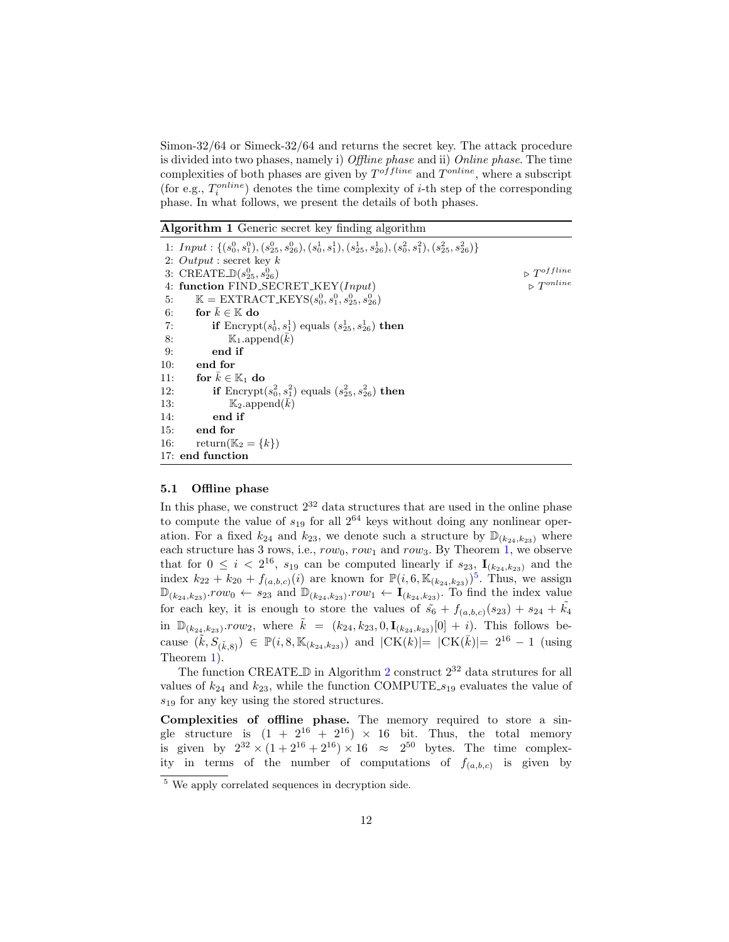Simon-32/64 or Simeck-32/64 and returns the secret key. The attack procedure is divided into two phases, namely i) Offline phase and ii) Online phase. The time complexities of both phases are given by  $T^{offline}$  and  $T^{online}$ , where a subscript (for e.g.,  $T_i^{online}$ ) denotes the time complexity of *i*-th step of the corresponding phase. In what follows, we present the details of both phases.

<span id="page-11-0"></span>Algorithm 1 Generic secret key finding algorithm

|     | 1: Input : $\{(s_0^0, s_1^0), (s_{25}^0, s_{26}^0), (s_0^1, s_1^1), (s_{25}^1, s_{26}^1), (s_0^2, s_1^2), (s_{25}^2, s_{26}^2)\}\$ |                              |
|-----|------------------------------------------------------------------------------------------------------------------------------------|------------------------------|
|     | 2: $Output:$ secret key k                                                                                                          |                              |
|     | 3: CREATE_ $\mathbb{D}(s_{25}^0, s_{26}^0)$                                                                                        | $\triangleright T^{offline}$ |
|     | 4: function FIND_SECRET_KEY(Input)                                                                                                 |                              |
| 5:  | $\mathbb{K} = \text{EXTRACT\_KEYS}(s_0^0, s_1^0, s_{25}^0, s_{26}^0)$                                                              |                              |
| 6:  | for $k \in \mathbb{K}$ do                                                                                                          |                              |
| 7:  | <b>if</b> Encrypt $(s_0^1, s_1^1)$ equals $(s_{25}^1, s_{26}^1)$ then                                                              |                              |
| 8:  | $\mathbb{K}_1$ append $(k)$                                                                                                        |                              |
| 9:  | end if                                                                                                                             |                              |
| 10: | end for                                                                                                                            |                              |
| 11: | for $k \in \mathbb{K}_1$ do                                                                                                        |                              |
| 12: | <b>if</b> Encrypt $(s_0^2, s_1^2)$ equals $(s_{25}^2, s_{26}^2)$ then                                                              |                              |
| 13: | $\mathbb{K}_2$ append(k)                                                                                                           |                              |
| 14: | end if                                                                                                                             |                              |
| 15: | end for                                                                                                                            |                              |
| 16: | return( $\mathbb{K}_2 = \{k\}$ )                                                                                                   |                              |
|     | 17: end function                                                                                                                   |                              |

## 5.1 Offline phase

In this phase, we construct  $2^{32}$  data structures that are used in the online phase to compute the value of  $s_{19}$  for all  $2^{64}$  keys without doing any nonlinear operation. For a fixed  $k_{24}$  and  $k_{23}$ , we denote such a structure by  $\mathbb{D}_{(k_{24},k_{23})}$  where each structure has 3 rows, i.e.,  $row_0$ ,  $row_1$  and  $row_3$ . By Theorem [1,](#page-10-1) we observe that for  $0 \leq i < 2^{16}$ ,  $s_{19}$  can be computed linearly if  $s_{23}$ ,  $\mathbf{I}_{(k_{24},k_{23})}$  and the index  $k_{22} + k_{20} + f_{(a,b,c)}(i)$  are known for  $\mathbb{P}(i,6,\mathbb{K}_{(k_{24},k_{23})})^5$  $\mathbb{P}(i,6,\mathbb{K}_{(k_{24},k_{23})})^5$ . Thus, we assign  $\mathbb{D}_{(k_{24},k_{23})}.row_0 \leftarrow s_{23}$  and  $\mathbb{D}_{(k_{24},k_{23})}.row_1 \leftarrow I_{(k_{24},k_{23})}.$  To find the index value for each key, it is enough to store the values of  $\tilde{s}_6 + f_{(a,b,c)}(s_{23}) + s_{24} + \tilde{k}_4$ in  $\mathbb{D}_{(k_{24},k_{23})}.row_2$ , where  $\tilde{k} = (k_{24},k_{23},0,\mathbf{I}_{(k_{24},k_{23})}[0] + i)$ . This follows because  $(\tilde{k}, S_{(\tilde{k}, 8)}) \in \mathbb{P}(i, 8, \mathbb{K}_{(k_{24}, k_{23})})$  and  $|CK(k)|=|CK(\bar{k})|= 2^{16}-1$  (using Theorem [1\)](#page-10-1).

The function CREATE  $\mathbb D$  in Algorithm [2](#page-12-0) construct  $2^{32}$  data strutures for all values of  $k_{24}$  and  $k_{23}$ , while the function COMPUTE<sub>-819</sub> evaluates the value of  $s_{19}$  for any key using the stored structures.

Complexities of offline phase. The memory required to store a single structure is  $(1 + 2^{16} + 2^{16}) \times 16$  bit. Thus, the total memory is given by  $2^{32} \times (1+2^{16}+2^{16}) \times 16 \approx 2^{50}$  bytes. The time complexity in terms of the number of computations of  $f_{(a,b,c)}$  is given by

<span id="page-11-1"></span><sup>5</sup> We apply correlated sequences in decryption side.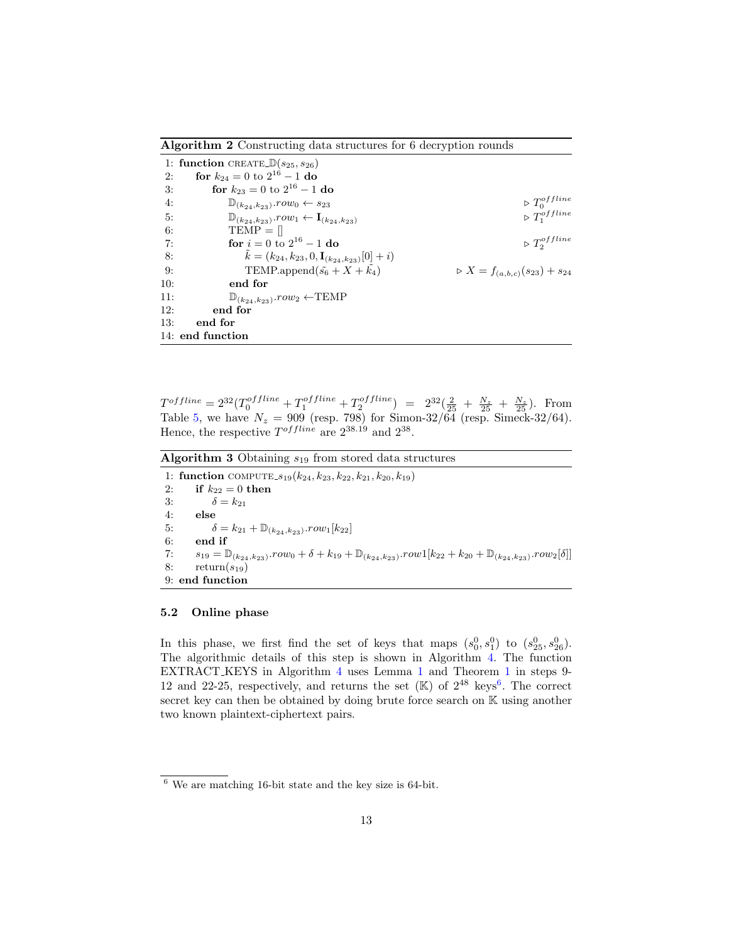<span id="page-12-0"></span>Algorithm 2 Constructing data structures for 6 decryption rounds

|     | 1: function CREATE $\mathbb{D}(s_{25}, s_{26})$                         |                                                   |
|-----|-------------------------------------------------------------------------|---------------------------------------------------|
| 2:  | for $k_{24} = 0$ to $2^{16} - 1$ do                                     |                                                   |
| 3:  | for $k_{23} = 0$ to $2^{16} - 1$ do                                     |                                                   |
| 4:  | $\mathbb{D}_{(k_{24},k_{23})}.row_0 \leftarrow s_{23}$                  | $\triangleright T_0^{offline}$                    |
| 5:  | $\mathbb{D}_{(k_{24},k_{23})}.row_1 \leftarrow I_{(k_{24},k_{23})}$     | $\triangleright T_1^{offline}$                    |
| 6:  | $TEMP = \Box$                                                           |                                                   |
| 7:  | for $i = 0$ to $2^{16} - 1$ do                                          | $\triangleright T_2^{offline}$                    |
| 8:  | $\tilde{k} = (k_{24}, k_{23}, 0, \mathbf{I}_{(k_{24}, k_{23})}[0] + i)$ |                                                   |
| 9:  | TEMP.append $(\tilde{s_6} + X + \tilde{k_4})$                           | $\triangleright X = f_{(a,b,c)}(s_{23}) + s_{24}$ |
| 10: | end for                                                                 |                                                   |
| 11: | $\mathbb{D}_{(k_{24}, k_{23})}.row_2 \leftarrow \text{TEMP}$            |                                                   |
| 12: | end for                                                                 |                                                   |
| 13: | end for                                                                 |                                                   |
|     | 14: end function                                                        |                                                   |

 $T^{offline} = 2^{32} (T_0^{offline} + T_1^{offline} + T_2^{offline}) = 2^{32} (\frac{2}{25} + \frac{N_z}{25} + \frac{N_z}{25}).$  From Table [5,](#page-8-1) we have  $N_z = 909$  (resp. 798) for Simon-32/64 (resp. Simeck-32/64). Hence, the respective  $T^{offline}$  are  $2^{38.19}$  and  $2^{38}$ .

Algorithm 3 Obtaining  $s_{19}$  from stored data structures

1: function COMPUTE<sub>-819</sub> $(k_{24}, k_{23}, k_{22}, k_{21}, k_{20}, k_{19})$ 2: if  $k_{22} = 0$  then 3:  $\delta = k_{21}$ 4: else 5:  $\delta = k_{21} + \mathbb{D}_{(k_{24}, k_{23})}.row_1[k_{22}]$ <br>6: end if end if 7:  $s_{19} = \mathbb{D}_{(k_{24}, k_{23})}$ . $row_0 + \delta + k_{19} + \mathbb{D}_{(k_{24}, k_{23})}$ . $row_1[k_{22} + k_{20} + \mathbb{D}_{(k_{24}, k_{23})}$ . $row_2[\delta]]$ 8:  $return(s_{19})$ 9: end function

#### 5.2 Online phase

In this phase, we first find the set of keys that maps  $(s_0^0, s_1^0)$  to  $(s_{25}^0, s_{26}^0)$ . The algorithmic details of this step is shown in Algorithm [4.](#page-14-0) The function EXTRACT KEYS in Algorithm [4](#page-14-0) uses Lemma [1](#page-9-2) and Theorem [1](#page-10-1) in steps 9- 12 and 22-25, respectively, and returns the set  $(K)$  of  $2^{48}$  keys<sup>[6](#page-12-1)</sup>. The correct secret key can then be obtained by doing brute force search on K using another two known plaintext-ciphertext pairs.

<span id="page-12-1"></span><sup>6</sup> We are matching 16-bit state and the key size is 64-bit.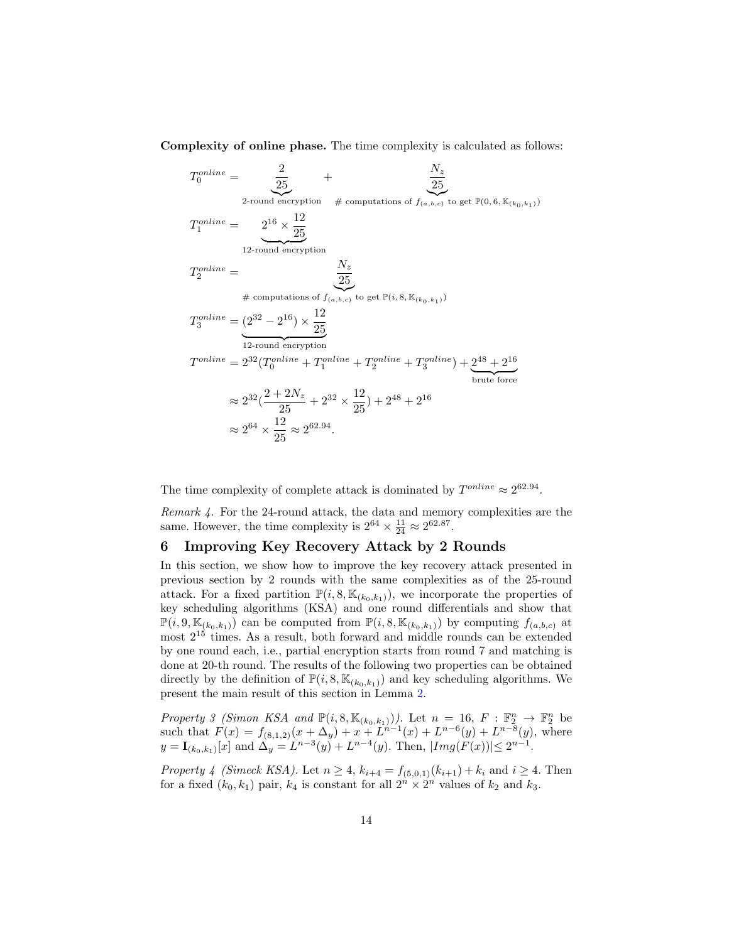Complexity of online phase. The time complexity is calculated as follows:

$$
T_0^{online} = \frac{2}{25} + \frac{N_z}{25}
$$
  
\n
$$
T_1^{online} = \frac{2^{16} \times \frac{12}{25}}{12\text{-round encryption}}
$$
  
\n
$$
T_2^{online} = \frac{N_z}{25}
$$
  
\n
$$
\# computations of f_{(a,b,c) \text{ to get } \mathbb{P}(i, 8, \mathbb{K}_{(k_0,k_1)})
$$
  
\n
$$
T_3^{online} = \frac{(2^{32} - 2^{16}) \times \frac{12}{25}}{12\text{-round encryption}}
$$
  
\n
$$
T^{online} = 2^{32} (T_0^{online} + T_1^{online} + T_2^{online} + T_3^{online}) + \underbrace{2^{48} + 2^{16}}_{\text{brute force}}
$$
  
\n
$$
\approx 2^{32} (\frac{2 + 2N_z}{25} + 2^{32} \times \frac{12}{25}) + 2^{48} + 2^{16}
$$
  
\n
$$
\approx 2^{64} \times \frac{12}{25} \approx 2^{62.94}.
$$

The time complexity of complete attack is dominated by  $T^{online} \approx 2^{62.94}$ .

Remark 4. For the 24-round attack, the data and memory complexities are the same. However, the time complexity is  $2^{64} \times \frac{11}{24} \approx 2^{62.87}$ .

### <span id="page-13-0"></span>6 Improving Key Recovery Attack by 2 Rounds

In this section, we show how to improve the key recovery attack presented in previous section by 2 rounds with the same complexities as of the 25-round attack. For a fixed partition  $\mathbb{P}(i, 8, \mathbb{K}_{(k_0,k_1)})$ , we incorporate the properties of key scheduling algorithms (KSA) and one round differentials and show that  $\mathbb{P}(i, 9, \mathbb{K}_{(k_0,k_1)})$  can be computed from  $\mathbb{P}(i, 8, \mathbb{K}_{(k_0,k_1)})$  by computing  $f_{(a,b,c)}$  at most  $2^{15}$  times. As a result, both forward and middle rounds can be extended by one round each, i.e., partial encryption starts from round 7 and matching is done at 20-th round. The results of the following two properties can be obtained directly by the definition of  $\mathbb{P}(i, 8, \mathbb{K}_{(k_0,k_1)})$  and key scheduling algorithms. We present the main result of this section in Lemma [2.](#page-14-1)

<span id="page-13-1"></span>Property 3 (Simon KSA and  $\mathbb{P}(i, 8, \mathbb{K}_{(k_0, k_1)}))$ . Let  $n = 16, F : \mathbb{F}_2^n \to \mathbb{F}_2^n$  be such that  $F(x) = f_{(8,1,2)}(x + \Delta_y) + x + L^{n-1}(x) + L^{n-6}(y) + L^{n-8}(y)$ , where  $y = \mathbf{I}_{(k_0,k_1)}[x]$  and  $\Delta_y = L^{n-3}(y) + L^{n-4}(y)$ . Then,  $|Img(F(x))| \le 2^{n-1}$ .

<span id="page-13-3"></span><span id="page-13-2"></span>*Property 4 (Simeck KSA).* Let  $n \geq 4$ ,  $k_{i+4} = f_{(5,0,1)}(k_{i+1}) + k_i$  and  $i \geq 4$ . Then for a fixed  $(k_0, k_1)$  pair,  $k_4$  is constant for all  $2^n \times 2^n$  values of  $k_2$  and  $k_3$ .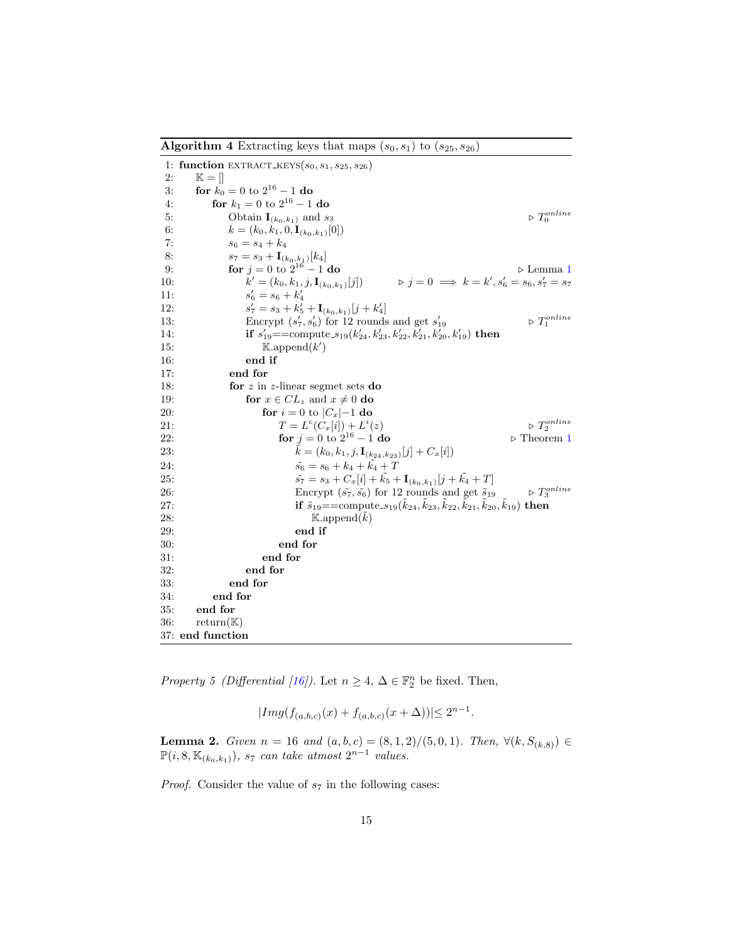<span id="page-14-0"></span>**Algorithm 4** Extracting keys that maps  $(s_0, s_1)$  to  $(s_{25}, s_{26})$ 

| 1: function EXTRACT_KEYS( $s_0, s_1, s_{25}, s_{26}$ )                                                                                      |                                    |
|---------------------------------------------------------------------------------------------------------------------------------------------|------------------------------------|
| 2:<br>$\mathbb{K} = \vert \vert$                                                                                                            |                                    |
| for $k_0 = 0$ to $2^{16} - 1$ do<br>3:                                                                                                      |                                    |
| for $k_1 = 0$ to $2^{16} - 1$ do<br>4:                                                                                                      |                                    |
| 5:<br>Obtain $\mathbf{I}_{(k_0,k_1)}$ and $s_3$                                                                                             | $\vartriangleright T_0^{online}$   |
| 6:<br>$k = (k_0, k_1, 0, \mathbf{I}_{(k_0, k_1)}[0])$                                                                                       |                                    |
| 7:<br>$s_6 = s_4 + k_4$                                                                                                                     |                                    |
| 8:<br>$s_7 = s_3 + \mathbf{I}_{(k_0,k_1)}[k_4]$                                                                                             |                                    |
| for $j = 0$ to $2^{16} - 1$ do<br>9:                                                                                                        | $\triangleright$ Lemma 1           |
| $\triangleright j = 0 \implies k = k', s'_6 = s_6, s'_7 = s_7$<br>$k' = (k_0, k_1, j, \mathbf{I}_{(k_0, k_1)}[j])$<br>10:                   |                                    |
| $s'_6 = s_6 + k'_4$<br>11:                                                                                                                  |                                    |
| 12:<br>$s'_7 = s_3 + k'_5 + \mathbf{I}_{(k_0,k_1)}[j+k'_4]$                                                                                 |                                    |
| Encrypt $(s'_7, s'_6)$ for 12 rounds and get $s'_{19}$<br>13:                                                                               | $\vartriangleright$ $T_1^{online}$ |
| if $s'_{19} = \text{compute}_{s19}(k'_{24}, k'_{23}, k'_{22}, k'_{21}, k'_{20}, k'_{19})$ then<br>14:                                       |                                    |
| 15:<br>$\mathbb{K}$ .append $(k')$                                                                                                          |                                    |
| end if<br>16:                                                                                                                               |                                    |
| 17:<br>end for                                                                                                                              |                                    |
| 18:<br>for $z$ in $z$ -linear segmet sets do                                                                                                |                                    |
| 19:<br>for $x \in CL_z$ and $x \neq 0$ do                                                                                                   |                                    |
| for $i = 0$ to $ C_x  - 1$ do<br>20:                                                                                                        |                                    |
| $T = L^{c}(C_x[i]) + L^{i}(z)$<br>21:                                                                                                       | $\vartriangleright T_2^{online}$   |
| for $j = 0$ to $2^{16} - 1$ do<br>22:                                                                                                       | $\triangleright$ Theorem 1         |
| $k = (k_0, k_1, j, \mathbf{I}_{(k_{24}, k_{23})}[j] + C_x[i])$<br>23:                                                                       |                                    |
| $\tilde{s_6} = s_6 + k_4 + \tilde{k_4} + T$<br>24:                                                                                          |                                    |
| $\tilde{s_7} = s_3 + C_x[i] + \tilde{k_5} + \mathbf{I}_{(k_0,k_1)}[j + \tilde{k_4} + T]$<br>25:                                             |                                    |
| Encrypt $(\tilde{s_7}, \tilde{s_6})$ for 12 rounds and get $\tilde{s}_{19}$<br>26:                                                          | $\triangleright$ $T_3^{online}$    |
| 27:<br>if $\tilde{s}_1$ <sup>9</sup> ==compute_ $s_1$ <sup>9</sup> ( $k_{24}$ , $k_{23}$ , $k_{22}$ , $k_{21}$ , $k_{20}$ , $k_{19}$ ) then |                                    |
| 28:<br>$\mathbb{K}.\text{append}(k)$                                                                                                        |                                    |
| 29:<br>end if                                                                                                                               |                                    |
| 30:<br>end for                                                                                                                              |                                    |
| 31:<br>end for                                                                                                                              |                                    |
| 32:<br>end for<br>end for                                                                                                                   |                                    |
| 33:<br>34:<br>end for                                                                                                                       |                                    |
| 35:<br>end for                                                                                                                              |                                    |
|                                                                                                                                             |                                    |
| 36:<br>$return(\mathbb{K})$                                                                                                                 |                                    |

*Property 5 (Differential [\[16\]](#page-17-8))*. Let  $n \geq 4$ ,  $\Delta \in \mathbb{F}_2^n$  be fixed. Then,

$$
|Img(f_{(a,b,c)}(x) + f_{(a,b,c)}(x + \Delta))| \le 2^{n-1}.
$$

<span id="page-14-1"></span>**Lemma 2.** Given  $n = 16$  and  $(a, b, c) = (8, 1, 2)/(5, 0, 1)$ . Then,  $\forall (k, S_{(k, 8)}) \in$  $\mathbb{P}(i, 8, \mathbb{K}_{(k_0,k_1)}), s_7$  can take atmost  $2^{n-1}$  values.

*Proof.* Consider the value of  $s_7$  in the following cases: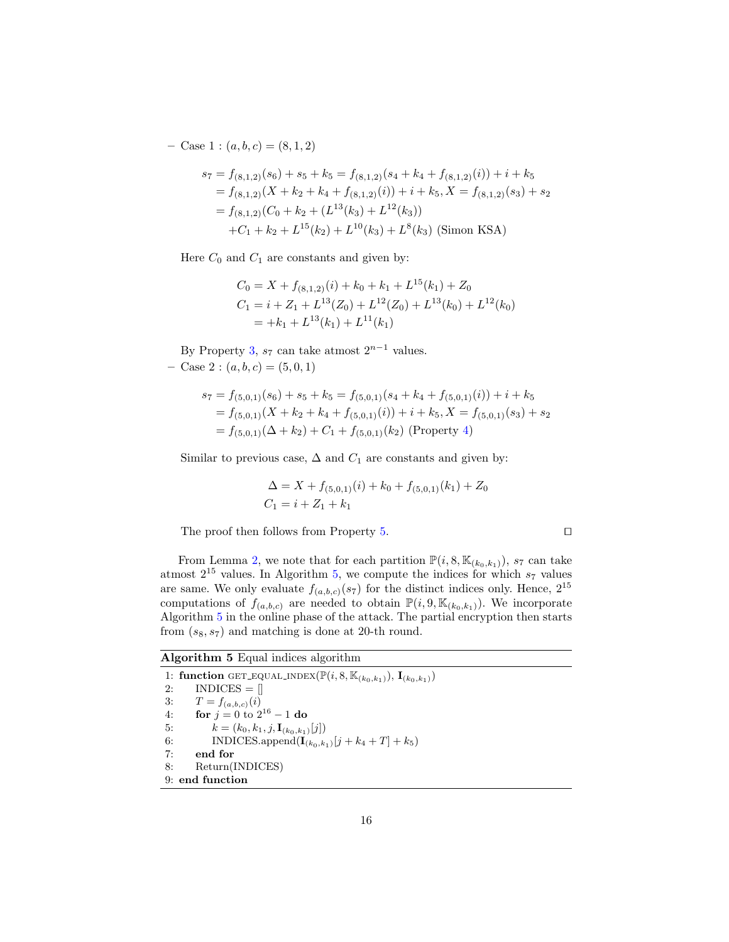– Case 1 :  $(a, b, c) = (8, 1, 2)$ 

$$
s_7 = f_{(8,1,2)}(s_6) + s_5 + k_5 = f_{(8,1,2)}(s_4 + k_4 + f_{(8,1,2)}(i)) + i + k_5
$$
  
=  $f_{(8,1,2)}(X + k_2 + k_4 + f_{(8,1,2)}(i)) + i + k_5, X = f_{(8,1,2)}(s_3) + s_2$   
=  $f_{(8,1,2)}(C_0 + k_2 + (L^{13}(k_3) + L^{12}(k_3))$   
+  $C_1 + k_2 + L^{15}(k_2) + L^{10}(k_3) + L^8(k_3)$  (Simon KSA)

Here  $C_0$  and  $C_1$  are constants and given by:

$$
C_0 = X + f_{(8,1,2)}(i) + k_0 + k_1 + L^{15}(k_1) + Z_0
$$
  
\n
$$
C_1 = i + Z_1 + L^{13}(Z_0) + L^{12}(Z_0) + L^{13}(k_0) + L^{12}(k_0)
$$
  
\n
$$
= +k_1 + L^{13}(k_1) + L^{11}(k_1)
$$

By Property [3,](#page-13-1)  $s_7$  can take atmost  $2^{n-1}$  values.  $-$  Case 2 :  $(a, b, c) = (5, 0, 1)$ 

$$
s_7 = f_{(5,0,1)}(s_6) + s_5 + k_5 = f_{(5,0,1)}(s_4 + k_4 + f_{(5,0,1)}(i)) + i + k_5
$$
  
=  $f_{(5,0,1)}(X + k_2 + k_4 + f_{(5,0,1)}(i)) + i + k_5, X = f_{(5,0,1)}(s_3) + s_2$   
=  $f_{(5,0,1)}(\Delta + k_2) + C_1 + f_{(5,0,1)}(k_2)$  (Property 4)

Similar to previous case,  $\Delta$  and  $C_1$  are constants and given by:

$$
\Delta = X + f_{(5,0,1)}(i) + k_0 + f_{(5,0,1)}(k_1) + Z_0
$$
  

$$
C_1 = i + Z_1 + k_1
$$

The proof then follows from Property [5.](#page-13-3)  $\Box$ 

From Lemma [2,](#page-14-1) we note that for each partition  $\mathbb{P}(i, 8, \mathbb{K}_{(k_0, k_1)})$ , s7 can take atmost  $2^{15}$  values. In Algorithm [5,](#page-15-0) we compute the indices for which  $s_7$  values are same. We only evaluate  $f_{(a,b,c)}(s_7)$  for the distinct indices only. Hence,  $2^{15}$ computations of  $f_{(a,b,c)}$  are needed to obtain  $\mathbb{P}(i, 9, \mathbb{K}_{(k_0,k_1)})$ . We incorporate Algorithm [5](#page-15-0) in the online phase of the attack. The partial encryption then starts from  $(s_8, s_7)$  and matching is done at 20-th round.

#### <span id="page-15-0"></span>Algorithm 5 Equal indices algorithm

1: function GET\_EQUAL\_INDEX( $\mathbb{P}(i, 8, \mathbb{K}_{(k_0, k_1)}), \mathbf{I}_{(k_0, k_1)})$ <br>2: INDICES =  $\parallel$  $INDICES = []$ 3:  $T = f_{(a,b,c)}(i)$ 4: **for**  $j = 0$  to  $2^{16} - 1$  do 5:  $k = (k_0, k_1, j, \mathbf{I}_{(k_0, k_1)}[j])$ <br>6: INDICES.append( $\mathbf{I}_{(k_0, k_1)}$ 6: INDICES.append $({\bf I}_{(k_0,k_1)}[j + k_4 + T] + k_5)$ <br>7: end for end for 8: Return(INDICES) 9: end function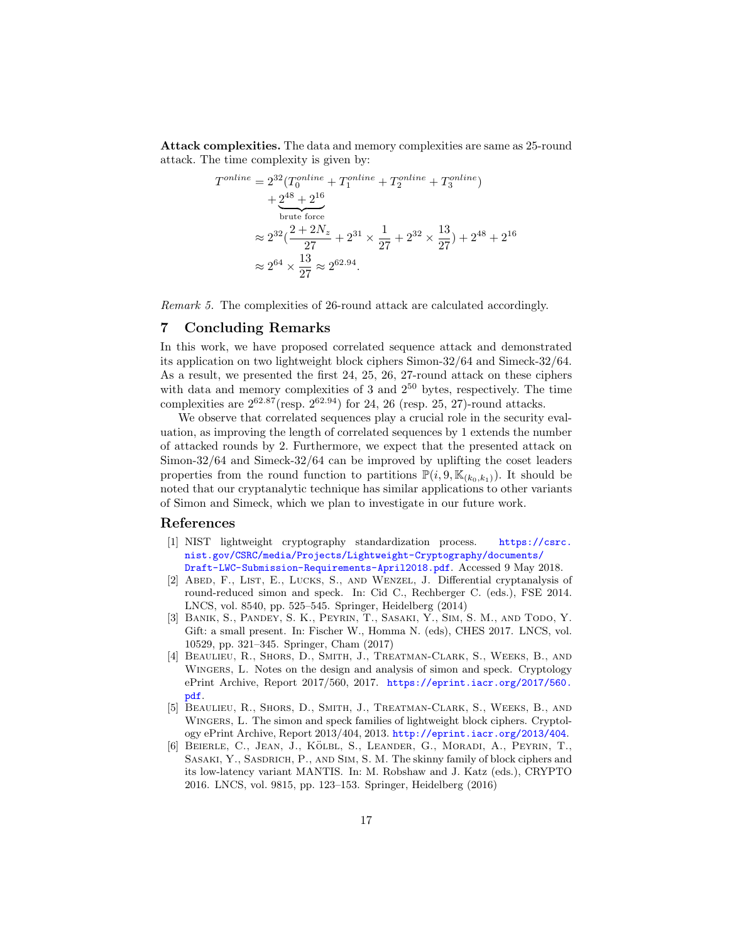Attack complexities. The data and memory complexities are same as 25-round attack. The time complexity is given by:

$$
T^{online} = 2^{32} (T_0^{online} + T_1^{online} + T_2^{online} + T_3^{online})
$$
  
+  $2^{48} + 2^{16}$   
brute force  

$$
\approx 2^{32} (\frac{2 + 2N_z}{27} + 2^{31} \times \frac{1}{27} + 2^{32} \times \frac{13}{27}) + 2^{48} + 2^{16}
$$
  

$$
\approx 2^{64} \times \frac{13}{27} \approx 2^{62.94}.
$$

Remark 5. The complexities of 26-round attack are calculated accordingly.

## <span id="page-16-6"></span>7 Concluding Remarks

In this work, we have proposed correlated sequence attack and demonstrated its application on two lightweight block ciphers Simon-32/64 and Simeck-32/64. As a result, we presented the first 24, 25, 26, 27-round attack on these ciphers with data and memory complexities of 3 and  $2^{50}$  bytes, respectively. The time complexities are  $2^{62.87}$ (resp.  $2^{62.94}$ ) for 24, 26 (resp. 25, 27)-round attacks.

We observe that correlated sequences play a crucial role in the security evaluation, as improving the length of correlated sequences by 1 extends the number of attacked rounds by 2. Furthermore, we expect that the presented attack on Simon-32/64 and Simeck-32/64 can be improved by uplifting the coset leaders properties from the round function to partitions  $\mathbb{P}(i, 9, \mathbb{K}_{(k_0,k_1)})$ . It should be noted that our cryptanalytic technique has similar applications to other variants of Simon and Simeck, which we plan to investigate in our future work.

#### References

- <span id="page-16-3"></span>[1] NIST lightweight cryptography standardization process. [https://csrc.](https://csrc.nist.gov/CSRC/media/Projects/Lightweight-Cryptography/documents/Draft-LWC-Submission-Requirements-April2018.pdf) [nist.gov/CSRC/media/Projects/Lightweight-Cryptography/documents/](https://csrc.nist.gov/CSRC/media/Projects/Lightweight-Cryptography/documents/Draft-LWC-Submission-Requirements-April2018.pdf) [Draft-LWC-Submission-Requirements-April2018.pdf](https://csrc.nist.gov/CSRC/media/Projects/Lightweight-Cryptography/documents/Draft-LWC-Submission-Requirements-April2018.pdf). Accessed 9 May 2018.
- <span id="page-16-4"></span>[2] Abed, F., List, E., Lucks, S., and Wenzel, J. Differential cryptanalysis of round-reduced simon and speck. In: Cid C., Rechberger C. (eds.), FSE 2014. LNCS, vol. 8540, pp. 525–545. Springer, Heidelberg (2014)
- <span id="page-16-2"></span>[3] Banik, S., Pandey, S. K., Peyrin, T., Sasaki, Y., Sim, S. M., and Todo, Y. Gift: a small present. In: Fischer W., Homma N. (eds), CHES 2017. LNCS, vol. 10529, pp. 321–345. Springer, Cham (2017)
- <span id="page-16-5"></span>[4] Beaulieu, R., Shors, D., Smith, J., Treatman-Clark, S., Weeks, B., and WINGERS, L. Notes on the design and analysis of simon and speck. Cryptology ePrint Archive, Report 2017/560, 2017. [https://eprint.iacr.org/2017/560.](https://eprint.iacr.org/2017/560.pdf) [pdf](https://eprint.iacr.org/2017/560.pdf).
- <span id="page-16-0"></span>[5] Beaulieu, R., Shors, D., Smith, J., Treatman-Clark, S., Weeks, B., and Wingers, L. The simon and speck families of lightweight block ciphers. Cryptology ePrint Archive, Report 2013/404, 2013. <http://eprint.iacr.org/2013/404>.
- <span id="page-16-1"></span>[6] BEIERLE, C., JEAN, J., KÖLBL, S., LEANDER, G., MORADI, A., PEYRIN, T., SASAKI, Y., SASDRICH, P., AND SIM, S. M. The skinny family of block ciphers and its low-latency variant MANTIS. In: M. Robshaw and J. Katz (eds.), CRYPTO 2016. LNCS, vol. 9815, pp. 123–153. Springer, Heidelberg (2016)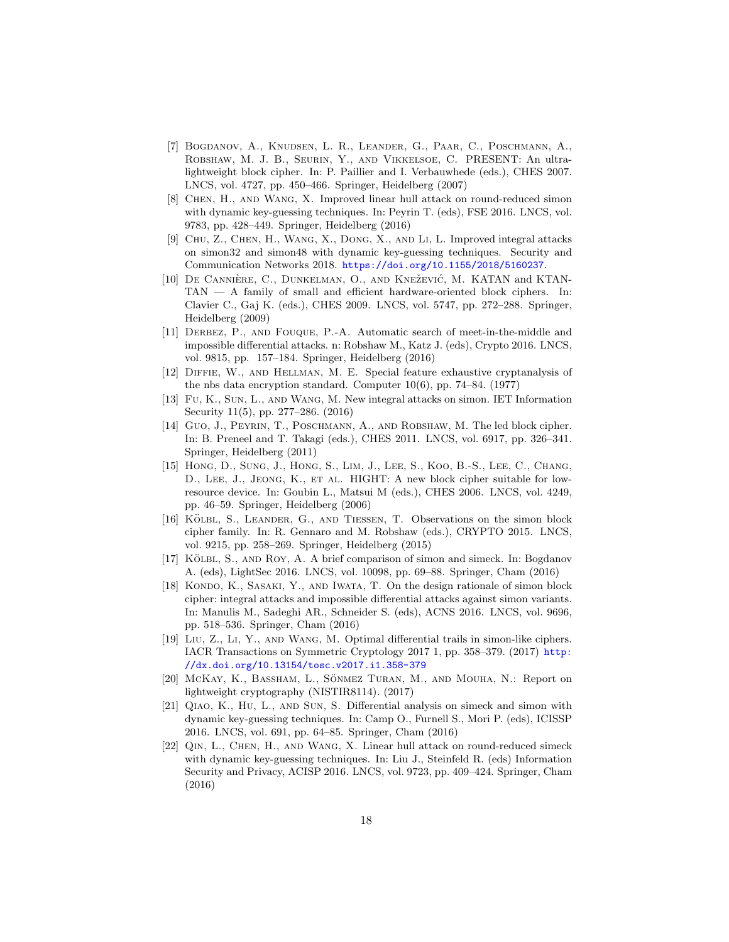- <span id="page-17-1"></span>[7] Bogdanov, A., Knudsen, L. R., Leander, G., Paar, C., Poschmann, A., Robshaw, M. J. B., Seurin, Y., and Vikkelsoe, C. PRESENT: An ultralightweight block cipher. In: P. Paillier and I. Verbauwhede (eds.), CHES 2007. LNCS, vol. 4727, pp. 450–466. Springer, Heidelberg (2007)
- <span id="page-17-5"></span>[8] Chen, H., and Wang, X. Improved linear hull attack on round-reduced simon with dynamic key-guessing techniques. In: Peyrin T. (eds), FSE 2016. LNCS, vol. 9783, pp. 428–449. Springer, Heidelberg (2016)
- <span id="page-17-6"></span>[9] Chu, Z., Chen, H., Wang, X., Dong, X., and Li, L. Improved integral attacks on simon32 and simon48 with dynamic key-guessing techniques. Security and Communication Networks 2018. <https://doi.org/10.1155/2018/5160237>.
- <span id="page-17-3"></span>[10] DE CANNIÈRE, C., DUNKELMAN, O., AND KNEŽEVIĆ, M. KATAN and KTAN-TAN — A family of small and efficient hardware-oriented block ciphers. In: Clavier C., Gaj K. (eds.), CHES 2009. LNCS, vol. 5747, pp. 272–288. Springer, Heidelberg (2009)
- <span id="page-17-15"></span>[11] Derbez, P., and Fouque, P.-A. Automatic search of meet-in-the-middle and impossible differential attacks. n: Robshaw M., Katz J. (eds), Crypto 2016. LNCS, vol. 9815, pp. 157–184. Springer, Heidelberg (2016)
- <span id="page-17-14"></span>[12] Diffie, W., and Hellman, M. E. Special feature exhaustive cryptanalysis of the nbs data encryption standard. Computer 10(6), pp. 74–84. (1977)
- <span id="page-17-7"></span>[13] Fu, K., Sun, L., and Wang, M. New integral attacks on simon. IET Information Security 11(5), pp. 277–286. (2016)
- <span id="page-17-2"></span>[14] Guo, J., Peyrin, T., Poschmann, A., and Robshaw, M. The led block cipher. In: B. Preneel and T. Takagi (eds.), CHES 2011. LNCS, vol. 6917, pp. 326–341. Springer, Heidelberg (2011)
- <span id="page-17-0"></span>[15] HONG, D., SUNG, J., HONG, S., LIM, J., LEE, S., KOO, B.-S., LEE, C., CHANG, D., LEE, J., JEONG, K., ET AL. HIGHT: A new block cipher suitable for lowresource device. In: Goubin L., Matsui M (eds.), CHES 2006. LNCS, vol. 4249, pp. 46–59. Springer, Heidelberg (2006)
- <span id="page-17-8"></span>[16] KÖLBL, S., LEANDER, G., AND TIESSEN, T. Observations on the simon block cipher family. In: R. Gennaro and M. Robshaw (eds.), CRYPTO 2015. LNCS, vol. 9215, pp. 258–269. Springer, Heidelberg (2015)
- <span id="page-17-9"></span>[17] KÖLBL, S., AND ROY, A. A brief comparison of simon and simeck. In: Bogdanov A. (eds), LightSec 2016. LNCS, vol. 10098, pp. 69–88. Springer, Cham (2016)
- <span id="page-17-10"></span>[18] KONDO, K., SASAKI, Y., AND IWATA, T. On the design rationale of simon block cipher: integral attacks and impossible differential attacks against simon variants. In: Manulis M., Sadeghi AR., Schneider S. (eds), ACNS 2016. LNCS, vol. 9696, pp. 518–536. Springer, Cham (2016)
- <span id="page-17-11"></span>[19] Liu, Z., Li, Y., and Wang, M. Optimal differential trails in simon-like ciphers. IACR Transactions on Symmetric Cryptology 2017 1, pp. 358–379. (2017) [http:](http://dx.doi.org/10.13154/tosc.v2017.i1.358-379) [//dx.doi.org/10.13154/tosc.v2017.i1.358-379](http://dx.doi.org/10.13154/tosc.v2017.i1.358-379)
- <span id="page-17-4"></span>[20] McKay, K., Bassham, L., Sönmez Turan, M., and Mouha, N.: Report on lightweight cryptography (NISTIR8114). (2017)
- <span id="page-17-12"></span>[21] Qiao, K., Hu, L., and Sun, S. Differential analysis on simeck and simon with dynamic key-guessing techniques. In: Camp O., Furnell S., Mori P. (eds), ICISSP 2016. LNCS, vol. 691, pp. 64–85. Springer, Cham (2016)
- <span id="page-17-13"></span>[22] Qin, L., Chen, H., and Wang, X. Linear hull attack on round-reduced simeck with dynamic key-guessing techniques. In: Liu J., Steinfeld R. (eds) Information Security and Privacy, ACISP 2016. LNCS, vol. 9723, pp. 409–424. Springer, Cham (2016)